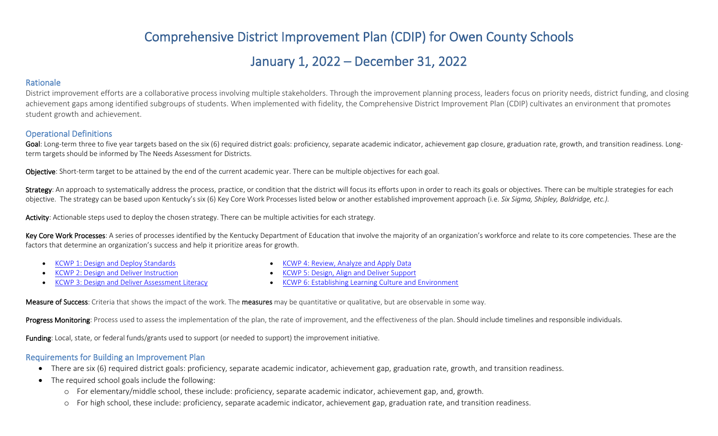# Comprehensive District Improvement Plan (CDIP) for Owen County Schools

## January 1, 2022 – December 31, 2022

#### Rationale

District improvement efforts are a collaborative process involving multiple stakeholders. Through the improvement planning process, leaders focus on priority needs, district funding, and closing achievement gaps among identified subgroups of students. When implemented with fidelity, the Comprehensive District Improvement Plan (CDIP) cultivates an environment that promotes student growth and achievement.

#### Operational Definitions

Goal: Long-term three to five year targets based on the six (6) required district goals: proficiency, separate academic indicator, achievement gap closure, graduation rate, growth, and transition readiness. Longterm targets should be informed by The Needs Assessment for Districts.

Objective: Short-term target to be attained by the end of the current academic year. There can be multiple objectives for each goal.

Strategy: An approach to systematically address the process, practice, or condition that the district will focus its efforts upon in order to reach its goals or objectives. There can be multiple strategies for each objective. The strategy can be based upon Kentucky's six (6) Key Core Work Processes listed below or another established improvement approach (i.e. *Six Sigma, Shipley, Baldridge, etc.).*

Activity: Actionable steps used to deploy the chosen strategy. There can be multiple activities for each strategy.

Key Core Work Processes: A series of processes identified by the Kentucky Department of Education that involve the majority of an organization's workforce and relate to its core competencies. These are the factors that determine an organization's success and help it prioritize areas for growth.

• [KCWP 1: Design and Deploy Standards](https://education.ky.gov/school/csip/Documents/KCWP%201%20Strategic%20Design%20and%20Deploy%20Standards.pdf)

• [KCWP 4: Review, Analyze and Apply Data](https://education.ky.gov/school/csip/Documents/KCWP%204%20Strategic%20Review%20Analyze%20and%20Apply%20Data.pdf)

- [KCWP 2: Design and Deliver Instruction](https://education.ky.gov/school/csip/Documents/KCWP%202%20Strategic%20Design%20and%20Deliver%20Instruction.pdf)
- [KCWP 3: Design and Deliver Assessment Literacy](https://education.ky.gov/school/csip/Documents/KCWP%203%20Strategic%20Design%20and%20Deliver%20Assessment%20Literacy.pdf)
- [KCWP 5: Design, Align and Deliver Support](https://education.ky.gov/school/csip/Documents/KCWP%205%20Strategic%20Design%20Align%20Deliver%20Support%20Processes.pdf)
- [KCWP 6: Establishing Learning Culture and Environment](https://education.ky.gov/school/csip/Documents/KCWP%206%20Strategic%20Establish%20Learning%20Culture%20and%20Environment.pdf)

Measure of Success: Criteria that shows the impact of the work. The measures may be quantitative or qualitative, but are observable in some way.

Progress Monitoring: Process used to assess the implementation of the plan, the rate of improvement, and the effectiveness of the plan. Should include timelines and responsible individuals.

Funding: Local, state, or federal funds/grants used to support (or needed to support) the improvement initiative.

#### Requirements for Building an Improvement Plan

- There are six (6) required district goals: proficiency, separate academic indicator, achievement gap, graduation rate, growth, and transition readiness.
- The required school goals include the following:
	- o For elementary/middle school, these include: proficiency, separate academic indicator, achievement gap, and, growth.
	- o For high school, these include: proficiency, separate academic indicator, achievement gap, graduation rate, and transition readiness.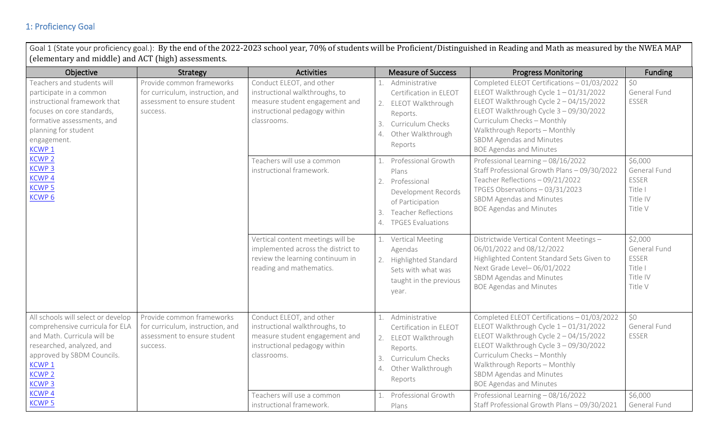## 1: Proficiency Goal

Goal 1 (State your proficiency goal.): By the end of the 2022-2023 school year, 70% of students will be Proficient/Distinguished in Reading and Math as measured by the NWEA MAP (elementary and middle) and ACT (high) assessments.

| Objective                                                                                                                                                                                                                        | Strategy                                                                                                  | <b>Activities</b>                                                                                                                            | <b>Measure of Success</b>                                                                                                                                                                    | <b>Progress Monitoring</b>                                                                                                                                                                                                                                                                                  | <b>Funding</b>                                                            |
|----------------------------------------------------------------------------------------------------------------------------------------------------------------------------------------------------------------------------------|-----------------------------------------------------------------------------------------------------------|----------------------------------------------------------------------------------------------------------------------------------------------|----------------------------------------------------------------------------------------------------------------------------------------------------------------------------------------------|-------------------------------------------------------------------------------------------------------------------------------------------------------------------------------------------------------------------------------------------------------------------------------------------------------------|---------------------------------------------------------------------------|
| Teachers and students will<br>participate in a common<br>instructional framework that<br>focuses on core standards,<br>formative assessments, and<br>planning for student<br>engagement.<br>KCWP <sub>1</sub>                    | Provide common frameworks<br>for curriculum, instruction, and<br>assessment to ensure student<br>success. | Conduct ELEOT, and other<br>instructional walkthroughs, to<br>measure student engagement and<br>instructional pedagogy within<br>classrooms. | Administrative<br>Certification in ELEOT<br>2.<br>ELEOT Walkthrough<br>Reports.<br>Curriculum Checks<br>3.<br>Other Walkthrough<br>4.<br>Reports                                             | Completed ELEOT Certifications - 01/03/2022<br>ELEOT Walkthrough Cycle $1 - 01/31/2022$<br>ELEOT Walkthrough Cycle $2 - 04/15/2022$<br>ELEOT Walkthrough Cycle 3 - 09/30/2022<br>Curriculum Checks - Monthly<br>Walkthrough Reports - Monthly<br>SBDM Agendas and Minutes<br><b>BOE Agendas and Minutes</b> | \$0<br>General Fund<br><b>ESSER</b>                                       |
| <b>KCWP<sub>2</sub></b><br><b>KCWP3</b><br>KCWP <sub>4</sub><br><b>KCWP 5</b><br>KCWP <sub>6</sub>                                                                                                                               |                                                                                                           | Teachers will use a common<br>instructional framework.                                                                                       | Professional Growth<br>Plans<br>2.<br>Professional<br>Development Records<br>of Participation<br><b>Teacher Reflections</b><br>$\mathcal{E}$<br><b>TPGES Evaluations</b><br>$\overline{4}$ . | Professional Learning - 08/16/2022<br>Staff Professional Growth Plans - 09/30/2022<br>Teacher Reflections - 09/21/2022<br>TPGES Observations - 03/31/2023<br>SBDM Agendas and Minutes<br><b>BOE Agendas and Minutes</b>                                                                                     | \$6,000<br>General Fund<br><b>ESSER</b><br>Title I<br>Title IV<br>Title V |
|                                                                                                                                                                                                                                  |                                                                                                           | Vertical content meetings will be<br>implemented across the district to<br>review the learning continuum in<br>reading and mathematics.      | Vertical Meeting<br>Agendas<br>2. Highlighted Standard<br>Sets with what was<br>taught in the previous<br>year.                                                                              | Districtwide Vertical Content Meetings -<br>06/01/2022 and 08/12/2022<br>Highlighted Content Standard Sets Given to<br>Next Grade Level-06/01/2022<br>SBDM Agendas and Minutes<br><b>BOE Agendas and Minutes</b>                                                                                            | \$2,000<br>General Fund<br><b>ESSER</b><br>Title I<br>Title IV<br>Title V |
| All schools will select or develop<br>comprehensive curricula for ELA<br>and Math. Curricula will be<br>researched, analyzed, and<br>approved by SBDM Councils.<br>KCWP <sub>1</sub><br><b>KCWP 2</b><br><b>KCWP<sub>3</sub></b> | Provide common frameworks<br>for curriculum, instruction, and<br>assessment to ensure student<br>success. | Conduct ELEOT, and other<br>instructional walkthroughs, to<br>measure student engagement and<br>instructional pedagogy within<br>classrooms. | Administrative<br>Certification in ELEOT<br>ELEOT Walkthrough<br>2.<br>Reports.<br>Curriculum Checks<br>3.<br>Other Walkthrough<br>4.<br>Reports                                             | Completed ELEOT Certifications - 01/03/2022<br>ELEOT Walkthrough Cycle $1 - 01/31/2022$<br>ELEOT Walkthrough Cycle 2 - 04/15/2022<br>ELEOT Walkthrough Cycle 3 - 09/30/2022<br>Curriculum Checks - Monthly<br>Walkthrough Reports - Monthly<br>SBDM Agendas and Minutes<br><b>BOE Agendas and Minutes</b>   | \$0\$<br>General Fund<br><b>ESSER</b>                                     |
| <b>KCWP4</b><br><b>KCWP5</b>                                                                                                                                                                                                     |                                                                                                           | Teachers will use a common<br>instructional framework.                                                                                       | Professional Growth<br>Plans                                                                                                                                                                 | Professional Learning - 08/16/2022<br>Staff Professional Growth Plans - 09/30/2021                                                                                                                                                                                                                          | \$6,000<br>General Fund                                                   |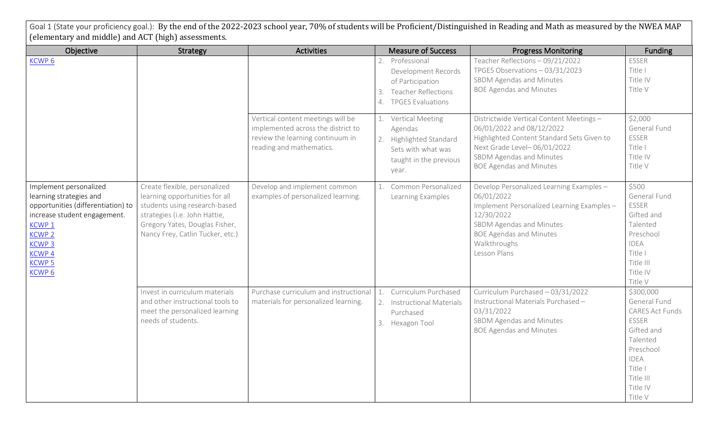| (elementary and middle) and ACT (high) assessments.                                                                                                                                                                                |                                                                                                                                                                                                         |                                                                                                                                         |                                                                                                                                            | Goal 1 (State your proficiency goal.): By the end of the 2022-2023 school year, 70% of students will be Proficient/Distinguished in Reading and Math as measured by the NWEA MAP                                 |                                                                                                                                                     |
|------------------------------------------------------------------------------------------------------------------------------------------------------------------------------------------------------------------------------------|---------------------------------------------------------------------------------------------------------------------------------------------------------------------------------------------------------|-----------------------------------------------------------------------------------------------------------------------------------------|--------------------------------------------------------------------------------------------------------------------------------------------|------------------------------------------------------------------------------------------------------------------------------------------------------------------------------------------------------------------|-----------------------------------------------------------------------------------------------------------------------------------------------------|
| Objective                                                                                                                                                                                                                          | Strategy                                                                                                                                                                                                | <b>Activities</b>                                                                                                                       | <b>Measure of Success</b>                                                                                                                  | <b>Progress Monitoring</b>                                                                                                                                                                                       | <b>Funding</b>                                                                                                                                      |
| KCWP <sub>6</sub>                                                                                                                                                                                                                  |                                                                                                                                                                                                         |                                                                                                                                         | Professional<br>Development Records<br>of Participation<br><b>Teacher Reflections</b><br>3.<br><b>TPGES Evaluations</b><br>$\mathcal{A}$ . | Teacher Reflections - 09/21/2022<br>TPGES Observations - 03/31/2023<br>SBDM Agendas and Minutes<br><b>BOE Agendas and Minutes</b>                                                                                | <b>ESSER</b><br>Title I<br>Title IV<br>Title V                                                                                                      |
|                                                                                                                                                                                                                                    |                                                                                                                                                                                                         | Vertical content meetings will be<br>implemented across the district to<br>review the learning continuum in<br>reading and mathematics. | Vertical Meeting<br>Agendas<br>Highlighted Standard<br>Sets with what was<br>taught in the previous<br>year.                               | Districtwide Vertical Content Meetings -<br>06/01/2022 and 08/12/2022<br>Highlighted Content Standard Sets Given to<br>Next Grade Level-06/01/2022<br>SBDM Agendas and Minutes<br><b>BOE Agendas and Minutes</b> | \$2,000<br>General Fund<br><b>ESSER</b><br>Title I<br>Title IV<br>Title V                                                                           |
| Implement personalized<br>learning strategies and<br>opportunities (differentiation) to<br>increase student engagement.<br>KCWP <sub>1</sub><br><b>KCWP2</b><br><b>KCWP3</b><br><b>KCWP4</b><br><b>KCWP 5</b><br>KCWP <sub>6</sub> | Create flexible, personalized<br>learning opportunities for all<br>students using research-based<br>strategies (i.e. John Hattie,<br>Gregory Yates, Douglas Fisher,<br>Nancy Frey, Catlin Tucker, etc.) | Develop and implement common<br>examples of personalized learning.                                                                      | Common Personalized<br>Learning Examples                                                                                                   | Develop Personalized Learning Examples -<br>06/01/2022<br>Implement Personalized Learning Examples -<br>12/30/2022<br>SBDM Agendas and Minutes<br><b>BOE Agendas and Minutes</b><br>Walkthroughs<br>Lesson Plans | \$500<br>General Fund<br><b>ESSER</b><br>Gifted and<br>Talented<br>Preschool<br><b>IDEA</b><br>Title I<br>Title III<br>Title IV<br>Title V          |
|                                                                                                                                                                                                                                    | Invest in curriculum materials<br>and other instructional tools to<br>meet the personalized learning<br>needs of students.                                                                              | Purchase curriculum and instructional<br>materials for personalized learning.                                                           | Curriculum Purchased<br><b>Instructional Materials</b><br>Purchased<br>Hexagon Tool<br>3.                                                  | Curriculum Purchased - 03/31/2022<br>Instructional Materials Purchased -<br>03/31/2022<br>SBDM Agendas and Minutes<br><b>BOE Agendas and Minutes</b>                                                             | \$300,000<br>General Fund<br>CARES Act Funds<br>ESSER<br>Gifted and<br>Talented<br>Preschool<br>IDEA<br>Title I<br>Title III<br>Title IV<br>Title V |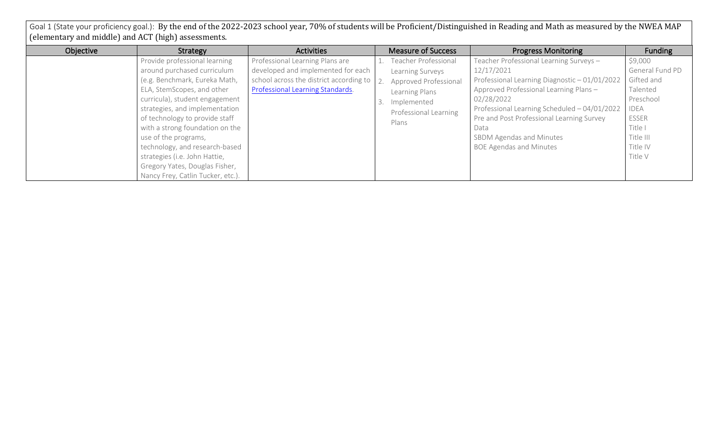Goal 1 (State your proficiency goal.): By the end of the 2022-2023 school year, 70% of students will be Proficient/Distinguished in Reading and Math as measured by the NWEA MAP (elementary and middle) and ACT (high) assessments.

| Objective | Strategy                          | <b>Activities</b>                       | <b>Measure of Success</b> | <b>Progress Monitoring</b>                    | Funding         |
|-----------|-----------------------------------|-----------------------------------------|---------------------------|-----------------------------------------------|-----------------|
|           | Provide professional learning     | Professional Learning Plans are         | Teacher Professional      | Teacher Professional Learning Surveys -       | \$9,000         |
|           | around purchased curriculum       | developed and implemented for each      | Learning Surveys          | 12/17/2021                                    | General Fund PD |
|           | (e.g. Benchmark, Eureka Math,     | school across the district according to | Approved Professional     | Professional Learning Diagnostic - 01/01/2022 | Gifted and      |
|           | ELA, StemScopes, and other        | Professional Learning Standards.        | Learning Plans            | Approved Professional Learning Plans -        | Talented        |
|           | curricula), student engagement    |                                         | 3. Implemented            | 02/28/2022                                    | Preschool       |
|           | strategies, and implementation    |                                         | Professional Learning     | Professional Learning Scheduled - 04/01/2022  | IDEA            |
|           | of technology to provide staff    |                                         | Plans                     | Pre and Post Professional Learning Survey     | ESSER           |
|           | with a strong foundation on the   |                                         |                           | Data                                          | Title I         |
|           | use of the programs,              |                                         |                           | SBDM Agendas and Minutes                      | Title III       |
|           | technology, and research-based    |                                         |                           | <b>BOE Agendas and Minutes</b>                | Title IV        |
|           | strategies (i.e. John Hattie,     |                                         |                           |                                               | Title V         |
|           | Gregory Yates, Douglas Fisher,    |                                         |                           |                                               |                 |
|           | Nancy Frey, Catlin Tucker, etc.). |                                         |                           |                                               |                 |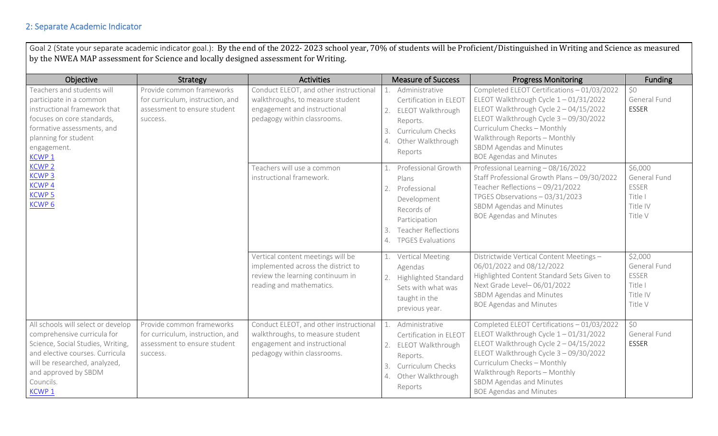#### 2: Separate Academic Indicator

Goal 2 (State your separate academic indicator goal.): By the end of the 2022- 2023 school year, 70% of students will be Proficient/Distinguished in Writing and Science as measured by the NWEA MAP assessment for Science and locally designed assessment for Writing.

| Objective                                                                                                                                                                                                                 | Strategy                                                                                                  | <b>Activities</b>                                                                                                                         | <b>Measure of Success</b>                                                                                                                                              | <b>Progress Monitoring</b>                                                                                                                                                                                                                                                                                  | <b>Funding</b>                                                            |
|---------------------------------------------------------------------------------------------------------------------------------------------------------------------------------------------------------------------------|-----------------------------------------------------------------------------------------------------------|-------------------------------------------------------------------------------------------------------------------------------------------|------------------------------------------------------------------------------------------------------------------------------------------------------------------------|-------------------------------------------------------------------------------------------------------------------------------------------------------------------------------------------------------------------------------------------------------------------------------------------------------------|---------------------------------------------------------------------------|
| Teachers and students will<br>participate in a common<br>instructional framework that<br>focuses on core standards,<br>formative assessments, and<br>planning for student<br>engagement.<br>KCWP <sub>1</sub>             | Provide common frameworks<br>for curriculum, instruction, and<br>assessment to ensure student<br>success. | Conduct ELEOT, and other instructional<br>walkthroughs, to measure student<br>engagement and instructional<br>pedagogy within classrooms. | Administrative<br>Certification in ELEOT<br>ELEOT Walkthrough<br>2.<br>Reports.<br>Curriculum Checks<br>3.<br>Other Walkthrough<br>$\mathcal{A}$ .<br>Reports          | Completed ELEOT Certifications - 01/03/2022<br>ELEOT Walkthrough Cycle 1-01/31/2022<br>ELEOT Walkthrough Cycle $2 - 04/15/2022$<br>ELEOT Walkthrough Cycle 3 - 09/30/2022<br>Curriculum Checks - Monthly<br>Walkthrough Reports - Monthly<br>SBDM Agendas and Minutes<br><b>BOE Agendas and Minutes</b>     | \$0<br>General Fund<br><b>ESSER</b>                                       |
| <b>KCWP 2</b><br><b>KCWP3</b><br><b>KCWP4</b><br><b>KCWP 5</b><br>KCWP <sub>6</sub>                                                                                                                                       |                                                                                                           | Teachers will use a common<br>instructional framework.                                                                                    | Professional Growth<br>Plans<br>Professional<br>2.<br>Development<br>Records of<br>Participation<br><b>Teacher Reflections</b><br>3.<br><b>TPGES Evaluations</b><br>4. | Professional Learning - 08/16/2022<br>Staff Professional Growth Plans - 09/30/2022<br>Teacher Reflections - 09/21/2022<br>TPGES Observations - 03/31/2023<br>SBDM Agendas and Minutes<br><b>BOE Agendas and Minutes</b>                                                                                     | \$6,000<br>General Fund<br><b>ESSER</b><br>Title I<br>Title IV<br>Title V |
|                                                                                                                                                                                                                           |                                                                                                           | Vertical content meetings will be<br>implemented across the district to<br>review the learning continuum in<br>reading and mathematics.   | <b>Vertical Meeting</b><br>Agendas<br><b>Highlighted Standard</b><br>2.<br>Sets with what was<br>taught in the<br>previous year.                                       | Districtwide Vertical Content Meetings -<br>06/01/2022 and 08/12/2022<br>Highlighted Content Standard Sets Given to<br>Next Grade Level-06/01/2022<br>SBDM Agendas and Minutes<br><b>BOE Agendas and Minutes</b>                                                                                            | \$2,000<br>General Fund<br><b>ESSER</b><br>Title I<br>Title IV<br>Title V |
| All schools will select or develop<br>comprehensive curricula for<br>Science, Social Studies, Writing,<br>and elective courses. Curricula<br>will be researched, analyzed,<br>and approved by SBDM<br>Councils.<br>KCWP 1 | Provide common frameworks<br>for curriculum, instruction, and<br>assessment to ensure student<br>success. | Conduct ELEOT, and other instructional<br>walkthroughs, to measure student<br>engagement and instructional<br>pedagogy within classrooms. | Administrative<br>Certification in ELEOT<br>ELEOT Walkthrough<br>2.<br>Reports.<br>Curriculum Checks<br>3.<br>Other Walkthrough<br>Reports                             | Completed ELEOT Certifications - 01/03/2022<br>ELEOT Walkthrough Cycle $1 - 01/31/2022$<br>ELEOT Walkthrough Cycle $2 - 04/15/2022$<br>ELEOT Walkthrough Cycle 3 - 09/30/2022<br>Curriculum Checks - Monthly<br>Walkthrough Reports - Monthly<br>SBDM Agendas and Minutes<br><b>BOE Agendas and Minutes</b> | \$0<br>General Fund<br><b>ESSER</b>                                       |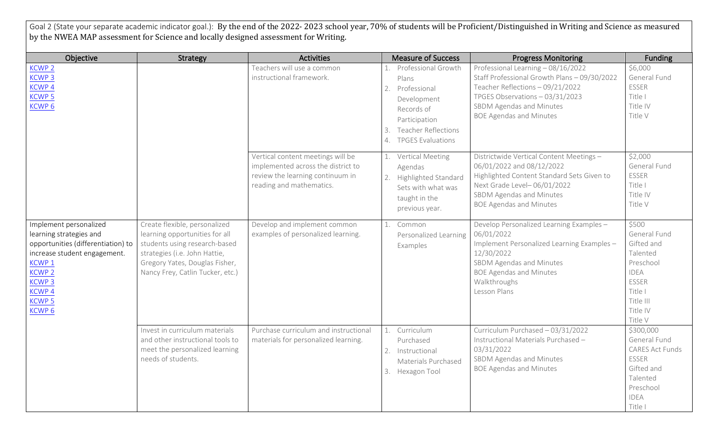Goal 2 (State your separate academic indicator goal.): By the end of the 2022-2023 school year, 70% of students will be Proficient/Distinguished in Writing and Science as measured by the NWEA MAP assessment for Science and locally designed assessment for Writing.

| Objective                                                                                                                                                                                                                          | <b>Strategy</b>                                                                                                                                                                                         | <b>Activities</b>                                                                                                                       | <b>Measure of Success</b>                                                                                                                                                    | <b>Progress Monitoring</b>                                                                                                                                                                                              | Funding                                                                                                                             |
|------------------------------------------------------------------------------------------------------------------------------------------------------------------------------------------------------------------------------------|---------------------------------------------------------------------------------------------------------------------------------------------------------------------------------------------------------|-----------------------------------------------------------------------------------------------------------------------------------------|------------------------------------------------------------------------------------------------------------------------------------------------------------------------------|-------------------------------------------------------------------------------------------------------------------------------------------------------------------------------------------------------------------------|-------------------------------------------------------------------------------------------------------------------------------------|
| <b>KCWP 2</b><br><b>KCWP3</b><br><b>KCWP4</b><br><b>KCWP5</b><br>KCWP <sub>6</sub>                                                                                                                                                 |                                                                                                                                                                                                         | Teachers will use a common<br>instructional framework.                                                                                  | Professional Growth<br>1.<br>Plans<br>2.<br>Professional<br>Development<br>Records of<br>Participation<br><b>Teacher Reflections</b><br>3.<br><b>TPGES Evaluations</b><br>4. | Professional Learning - 08/16/2022<br>Staff Professional Growth Plans - 09/30/2022<br>Teacher Reflections - 09/21/2022<br>TPGES Observations - 03/31/2023<br>SBDM Agendas and Minutes<br><b>BOE Agendas and Minutes</b> | \$6,000<br>General Fund<br>ESSER<br>Title I<br>Title IV<br>Title V                                                                  |
|                                                                                                                                                                                                                                    |                                                                                                                                                                                                         | Vertical content meetings will be<br>implemented across the district to<br>review the learning continuum in<br>reading and mathematics. | <b>Vertical Meeting</b><br>1.<br>Agendas<br>Highlighted Standard<br>2.<br>Sets with what was<br>taught in the<br>previous year.                                              | Districtwide Vertical Content Meetings -<br>06/01/2022 and 08/12/2022<br>Highlighted Content Standard Sets Given to<br>Next Grade Level-06/01/2022<br>SBDM Agendas and Minutes<br><b>BOE Agendas and Minutes</b>        | \$2,000<br>General Fund<br><b>ESSER</b><br>Title I<br>Title IV<br>Title V                                                           |
| Implement personalized<br>learning strategies and<br>opportunities (differentiation) to<br>increase student engagement.<br>KCWP <sub>1</sub><br><b>KCWP 2</b><br><b>KCWP3</b><br><b>KCWP4</b><br><b>KCWP5</b><br>KCWP <sub>6</sub> | Create flexible, personalized<br>learning opportunities for all<br>students using research-based<br>strategies (i.e. John Hattie,<br>Gregory Yates, Douglas Fisher,<br>Nancy Frey, Catlin Tucker, etc.) | Develop and implement common<br>examples of personalized learning.                                                                      | Common<br>1.<br>Personalized Learning<br>Examples                                                                                                                            | Develop Personalized Learning Examples -<br>06/01/2022<br>Implement Personalized Learning Examples -<br>12/30/2022<br>SBDM Agendas and Minutes<br><b>BOE Agendas and Minutes</b><br>Walkthroughs<br>Lesson Plans        | \$500<br>General Fund<br>Gifted and<br>Talented<br>Preschool<br><b>IDEA</b><br>ESSER<br>Title I<br>Title III<br>Title IV<br>Title V |
|                                                                                                                                                                                                                                    | Invest in curriculum materials<br>and other instructional tools to<br>meet the personalized learning<br>needs of students.                                                                              | Purchase curriculum and instructional<br>materials for personalized learning.                                                           | Curriculum<br>1.<br>Purchased<br>2.<br>Instructional<br>Materials Purchased<br>3. Hexagon Tool                                                                               | Curriculum Purchased - 03/31/2022<br>Instructional Materials Purchased -<br>03/31/2022<br>SBDM Agendas and Minutes<br><b>BOE Agendas and Minutes</b>                                                                    | \$300,000<br>General Fund<br><b>CARES Act Funds</b><br>ESSER<br>Gifted and<br>Talented<br>Preschool<br><b>IDEA</b><br>Title I       |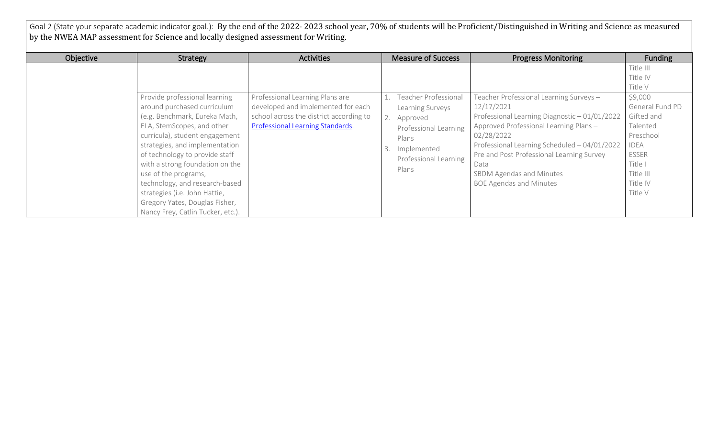Goal 2 (State your separate academic indicator goal.): By the end of the 2022-2023 school year, 70% of students will be Proficient/Distinguished in Writing and Science as measured by the NWEA MAP assessment for Science and locally designed assessment for Writing.

| Objective | Strategy                                                                                                                                                                                                                                                             | <b>Activities</b>                                                                                                                                    | <b>Measure of Success</b>                                                                                                               | <b>Progress Monitoring</b>                                                                                                                                                                                                                                         | <b>Funding</b>                                                                                                                           |
|-----------|----------------------------------------------------------------------------------------------------------------------------------------------------------------------------------------------------------------------------------------------------------------------|------------------------------------------------------------------------------------------------------------------------------------------------------|-----------------------------------------------------------------------------------------------------------------------------------------|--------------------------------------------------------------------------------------------------------------------------------------------------------------------------------------------------------------------------------------------------------------------|------------------------------------------------------------------------------------------------------------------------------------------|
|           | Provide professional learning<br>around purchased curriculum<br>(e.g. Benchmark, Eureka Math,<br>ELA, StemScopes, and other<br>curricula), student engagement<br>strategies, and implementation<br>of technology to provide staff<br>with a strong foundation on the | Professional Learning Plans are<br>developed and implemented for each<br>school across the district according to<br>Professional Learning Standards. | Teacher Professional<br>Learning Surveys<br>Approved<br>Professional Learning<br>Plans<br>Implemented<br>Professional Learning<br>Plans | Teacher Professional Learning Surveys-<br>12/17/2021<br>Professional Learning Diagnostic - 01/01/2022<br>Approved Professional Learning Plans -<br>02/28/2022<br>Professional Learning Scheduled - 04/01/2022<br>Pre and Post Professional Learning Survey<br>Data | Title III<br>Title IV<br>Title V<br>\$9,000<br>General Fund PD<br>Gifted and<br>Talented<br>Preschool<br>IDEA<br><b>ESSER</b><br>Title I |
|           | use of the programs,<br>technology, and research-based<br>strategies (i.e. John Hattie,<br>Gregory Yates, Douglas Fisher,<br>Nancy Frey, Catlin Tucker, etc.).                                                                                                       |                                                                                                                                                      |                                                                                                                                         | SBDM Agendas and Minutes<br><b>BOE Agendas and Minutes</b>                                                                                                                                                                                                         | Title III<br>Title IV<br>Title V                                                                                                         |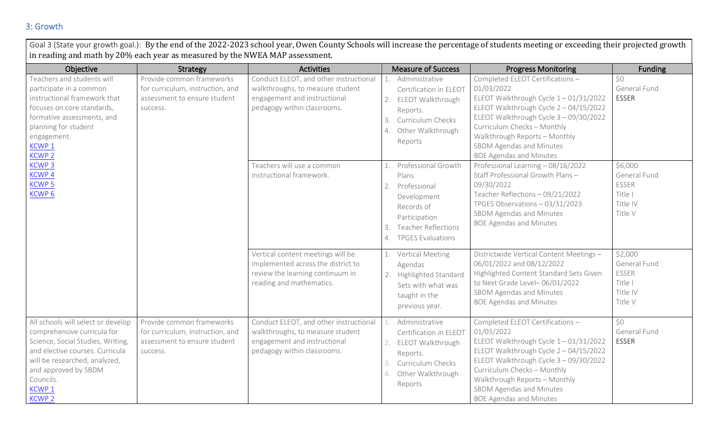#### 3: Growth

Goal 3 (State your growth goal.): By the end of the 2022-2023 school year, Owen County Schools will increase the percentage of students meeting or exceeding their projected growth in reading and math by 20% each year as measured by the NWEA MAP assessment. Objective **Net are absoluted as Strategy** Activities **Activities Activities Activities Progress Monitoring Progress Monitoring Progress Monitoring** Teachers and students will participate in a common instructional framework that focuses on core standards,  $f^{(n)}(a)$  assessments, and planning for student engagement. [KCWP 1](https://education.ky.gov/school/csip/Documents/KCWP%201%20Strategic%20Design%20and%20Deploy%20Standards.pdf) [KCWP 2](https://education.ky.gov/school/csip/Documents/KCWP%202%20Strategic%20Design%20and%20Deliver%20Instruction.pdf) [KCWP 3](https://education.ky.gov/school/csip/Documents/KCWP%203%20Strategic%20Design%20and%20Deliver%20Assessment%20Literacy.pdf) [KCWP 4](https://education.ky.gov/school/csip/Documents/KCWP%204%20Strategic%20Review%20Analyze%20and%20Apply%20Data.pdf) Provide common frameworks for curriculum, instruction, and assessment to ensure student success. Conduct ELEOT, and other instructional walkthroughs, to measure student engagement and instructional pedagogy within classrooms. 1. Administrative Certification in ELEOT 2. ELEOT Walkthrough Reports. 3. Curriculum Checks 4. Other Walkthrough Reports Completed ELEOT Certifications – 01/03/2022 ELEOT Walkthrough Cycle 1 – 01/31/2022 ELEOT Walkthrough Cycle 2 – 04/15/2022 ELEOT Walkthrough Cycle 3 – 09/30/2022 Curriculum Checks – Monthly Walkthrough Reports – Monthly SBDM Agendas and Minutes BOE Agendas and Minutes \$0 General Fund ESSER Teachers will use a common instructional framework. 1. Professional Growth Plans Professional Learning – 08/16/2022 Staff Professional Growth Plans – \$6,000 General Fund

| Tormative assessments, and<br>planning for student<br>engagement.<br>KCWP 1<br><b>KCWP 2</b>                                                                                                                                                          |                                                                                                           |                                                                                                                                           | 3.<br>4. | Curriculum Checks<br>Other Walkthrough<br>Reports                                                                                                    | ELEUT WAIKUITOURIT CYCLE 3 – 09/30/2022<br>Curriculum Checks - Monthly<br>Walkthrough Reports - Monthly<br>SBDM Agendas and Minutes<br><b>BOE Agendas and Minutes</b>                                                                                                                                      |                                                                           |
|-------------------------------------------------------------------------------------------------------------------------------------------------------------------------------------------------------------------------------------------------------|-----------------------------------------------------------------------------------------------------------|-------------------------------------------------------------------------------------------------------------------------------------------|----------|------------------------------------------------------------------------------------------------------------------------------------------------------|------------------------------------------------------------------------------------------------------------------------------------------------------------------------------------------------------------------------------------------------------------------------------------------------------------|---------------------------------------------------------------------------|
| <b>KCWP3</b><br><b>KCWP4</b><br><b>KCWP5</b><br>KCWP <sub>6</sub>                                                                                                                                                                                     |                                                                                                           | Teachers will use a common<br>instructional framework.                                                                                    | 2.       | Professional Growth<br>Plans<br>Professional<br>Development<br>Records of<br>Participation<br><b>Teacher Reflections</b><br><b>TPGES Evaluations</b> | Professional Learning - 08/16/2022<br>Staff Professional Growth Plans-<br>09/30/2022<br>Teacher Reflections - 09/21/2022<br>TPGES Observations - 03/31/2023<br>SBDM Agendas and Minutes<br><b>BOE Agendas and Minutes</b>                                                                                  | \$6,000<br>General Fund<br>ESSER<br>Title I<br>Title IV<br>Title V        |
|                                                                                                                                                                                                                                                       |                                                                                                           | Vertical content meetings will be<br>implemented across the district to<br>review the learning continuum in<br>reading and mathematics.   | 2.       | Vertical Meeting<br>Agendas<br>Highlighted Standard<br>Sets with what was<br>taught in the<br>previous year.                                         | Districtwide Vertical Content Meetings -<br>06/01/2022 and 08/12/2022<br>Highlighted Content Standard Sets Given<br>to Next Grade Level-06/01/2022<br>SBDM Agendas and Minutes<br><b>BOE Agendas and Minutes</b>                                                                                           | \$2,000<br>General Fund<br><b>ESSER</b><br>Title I<br>Title IV<br>Title V |
| All schools will select or develop<br>comprehensive curricula for<br>Science, Social Studies, Writing,<br>and elective courses. Curricula<br>will be researched, analyzed,<br>and approved by SBDM<br>Councils.<br>KCWP <sub>1</sub><br><b>KCWP 2</b> | Provide common frameworks<br>for curriculum, instruction, and<br>assessment to ensure student<br>success. | Conduct ELEOT, and other instructional<br>walkthroughs, to measure student<br>engagement and instructional<br>pedagogy within classrooms. | 2.<br>3. | Administrative<br>Certification in ELEOT<br>ELEOT Walkthrough<br>Reports.<br>Curriculum Checks<br>Other Walkthrough<br>Reports                       | Completed ELEOT Certifications -<br>01/03/2022<br>ELEOT Walkthrough Cycle 1-01/31/2022<br>ELEOT Walkthrough Cycle $2 - 04/15/2022$<br>ELEOT Walkthrough Cycle 3 - 09/30/2022<br>Curriculum Checks - Monthly<br>Walkthrough Reports - Monthly<br>SBDM Agendas and Minutes<br><b>BOE Agendas and Minutes</b> | \$0<br>General Fund<br><b>ESSER</b>                                       |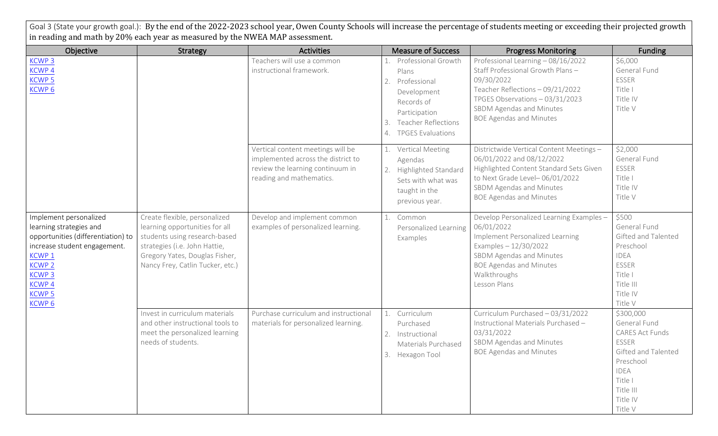Goal 3 (State your growth goal.): By the end of the 2022-2023 school year, Owen County Schools will increase the percentage of students meeting or exceeding their projected growth in reading and math by 20% each year as measured by the NWEA MAP assessment.

| Objective                                                                                                                                                                                                                           | <b>Strategy</b>                                                                                                                                                                                         | <b>Activities</b>                                                                                                                       | <b>Measure of Success</b>                                                                                                                                              | <b>Progress Monitoring</b>                                                                                                                                                                                                | Funding                                                                                                                                                               |
|-------------------------------------------------------------------------------------------------------------------------------------------------------------------------------------------------------------------------------------|---------------------------------------------------------------------------------------------------------------------------------------------------------------------------------------------------------|-----------------------------------------------------------------------------------------------------------------------------------------|------------------------------------------------------------------------------------------------------------------------------------------------------------------------|---------------------------------------------------------------------------------------------------------------------------------------------------------------------------------------------------------------------------|-----------------------------------------------------------------------------------------------------------------------------------------------------------------------|
| <b>KCWP3</b><br><b>KCWP4</b><br><b>KCWP5</b><br>KCWP <sub>6</sub>                                                                                                                                                                   |                                                                                                                                                                                                         | Teachers will use a common<br>instructional framework.                                                                                  | Professional Growth<br>Plans<br>Professional<br>2.<br>Development<br>Records of<br>Participation<br><b>Teacher Reflections</b><br>3.<br><b>TPGES Evaluations</b><br>4. | Professional Learning - 08/16/2022<br>Staff Professional Growth Plans-<br>09/30/2022<br>Teacher Reflections - 09/21/2022<br>TPGES Observations - 03/31/2023<br>SBDM Agendas and Minutes<br><b>BOE Agendas and Minutes</b> | \$6,000<br>General Fund<br><b>ESSER</b><br>Title I<br>Title IV<br>Title V                                                                                             |
|                                                                                                                                                                                                                                     |                                                                                                                                                                                                         | Vertical content meetings will be<br>implemented across the district to<br>review the learning continuum in<br>reading and mathematics. | 1. Vertical Meeting<br>Agendas<br>Highlighted Standard<br>2.<br>Sets with what was<br>taught in the<br>previous year.                                                  | Districtwide Vertical Content Meetings -<br>06/01/2022 and 08/12/2022<br>Highlighted Content Standard Sets Given<br>to Next Grade Level-06/01/2022<br>SBDM Agendas and Minutes<br><b>BOE Agendas and Minutes</b>          | \$2,000<br>General Fund<br><b>ESSER</b><br>Title I<br>Title IV<br>Title V                                                                                             |
| Implement personalized<br>learning strategies and<br>opportunities (differentiation) to<br>increase student engagement.<br>KCWP <sub>1</sub><br><b>KCWP 2</b><br><b>KCWP3</b><br><b>KCWP4</b><br><b>KCWP 5</b><br>KCWP <sub>6</sub> | Create flexible, personalized<br>learning opportunities for all<br>students using research-based<br>strategies (i.e. John Hattie,<br>Gregory Yates, Douglas Fisher,<br>Nancy Frey, Catlin Tucker, etc.) | Develop and implement common<br>examples of personalized learning.                                                                      | Common<br>1.<br>Personalized Learning<br>Examples                                                                                                                      | Develop Personalized Learning Examples -<br>06/01/2022<br>Implement Personalized Learning<br>Examples - 12/30/2022<br>SBDM Agendas and Minutes<br><b>BOE Agendas and Minutes</b><br>Walkthroughs<br>Lesson Plans          | \$500<br>General Fund<br>Gifted and Talented<br>Preschool<br><b>IDEA</b><br><b>ESSER</b><br>Title I<br>Title III<br>Title IV<br>Title V                               |
|                                                                                                                                                                                                                                     | Invest in curriculum materials<br>and other instructional tools to<br>meet the personalized learning<br>needs of students.                                                                              | Purchase curriculum and instructional<br>materials for personalized learning.                                                           | 1. Curriculum<br>Purchased<br>2.<br>Instructional<br>Materials Purchased<br>3. Hexagon Tool                                                                            | Curriculum Purchased - 03/31/2022<br>Instructional Materials Purchased -<br>03/31/2022<br>SBDM Agendas and Minutes<br><b>BOE Agendas and Minutes</b>                                                                      | \$300,000<br>General Fund<br><b>CARES Act Funds</b><br><b>ESSER</b><br>Gifted and Talented<br>Preschool<br><b>IDEA</b><br>Title I<br>Title III<br>Title IV<br>Title V |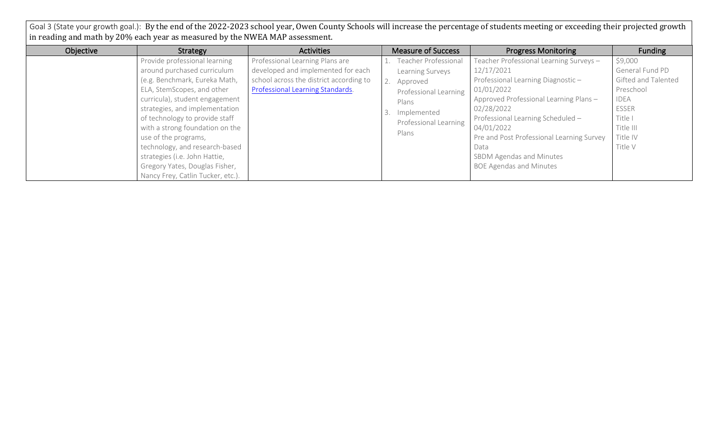Goal 3 (State your growth goal.): By the end of the 2022-2023 school year, Owen County Schools will increase the percentage of students meeting or exceeding their projected growth in reading and math by 20% each year as measured by the NWEA MAP assessment.

| Objective | Strategy                          | Activities                              | <b>Measure of Success</b>   | <b>Progress Monitoring</b>                | Funding             |
|-----------|-----------------------------------|-----------------------------------------|-----------------------------|-------------------------------------------|---------------------|
|           | Provide professional learning     | Professional Learning Plans are         | <b>Teacher Professional</b> | Teacher Professional Learning Surveys -   | \$9,000             |
|           | around purchased curriculum       | developed and implemented for each      | Learning Surveys            | 12/17/2021                                | General Fund PD     |
|           | (e.g. Benchmark, Eureka Math,     | school across the district according to | 2. Approved                 | Professional Learning Diagnostic-         | Gifted and Talented |
|           | ELA, StemScopes, and other        | Professional Learning Standards.        | Professional Learning       | 01/01/2022                                | Preschool           |
|           | curricula), student engagement    |                                         | Plans                       | Approved Professional Learning Plans -    | <b>IDEA</b>         |
|           | strategies, and implementation    |                                         | Implemented                 | 02/28/2022                                | <b>ESSER</b>        |
|           | of technology to provide staff    |                                         | Professional Learning       | Professional Learning Scheduled -         | Title I             |
|           | with a strong foundation on the   |                                         | Plans                       | 04/01/2022                                | Title III           |
|           | use of the programs,              |                                         |                             | Pre and Post Professional Learning Survey | Title IV            |
|           | technology, and research-based    |                                         |                             | Data                                      | Title V             |
|           | strategies (i.e. John Hattie,     |                                         |                             | SBDM Agendas and Minutes                  |                     |
|           | Gregory Yates, Douglas Fisher,    |                                         |                             | <b>BOE Agendas and Minutes</b>            |                     |
|           | Nancy Frey, Catlin Tucker, etc.). |                                         |                             |                                           |                     |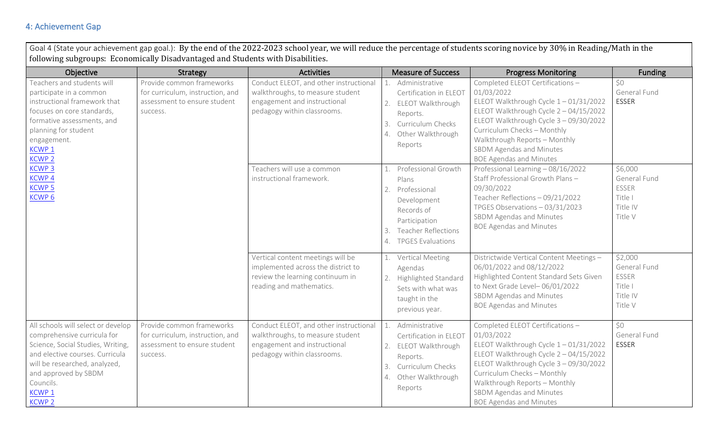## 4: Achievement Gap

Goal 4 (State your achievement gap goal.): By the end of the 2022-2023 school year, we will reduce the percentage of students scoring novice by 30% in Reading/Math in the following subgroups: Economically Disadvantaged and Students with Disabilities.

| Objective                                                                                                                                                                                                                                             | Strategy                                                                                                  | <b>Activities</b>                                                                                                                         | <b>Measure of Success</b>                                                                                                                                              | <b>Progress Monitoring</b>                                                                                                                                                                                                                                                                                   | Funding                                                            |
|-------------------------------------------------------------------------------------------------------------------------------------------------------------------------------------------------------------------------------------------------------|-----------------------------------------------------------------------------------------------------------|-------------------------------------------------------------------------------------------------------------------------------------------|------------------------------------------------------------------------------------------------------------------------------------------------------------------------|--------------------------------------------------------------------------------------------------------------------------------------------------------------------------------------------------------------------------------------------------------------------------------------------------------------|--------------------------------------------------------------------|
| Teachers and students will<br>participate in a common<br>instructional framework that<br>focuses on core standards,<br>formative assessments, and<br>planning for student<br>engagement.<br>KCWP <sub>1</sub><br><b>KCWP 2</b>                        | Provide common frameworks<br>for curriculum, instruction, and<br>assessment to ensure student<br>success. | Conduct ELEOT, and other instructional<br>walkthroughs, to measure student<br>engagement and instructional<br>pedagogy within classrooms. | Administrative<br>Certification in ELEOT<br>ELEOT Walkthrough<br>2.<br>Reports.<br>Curriculum Checks<br>3.<br>Other Walkthrough<br>4.<br>Reports                       | Completed ELEOT Certifications -<br>01/03/2022<br>ELEOT Walkthrough Cycle $1 - 01/31/2022$<br>ELEOT Walkthrough Cycle 2 - 04/15/2022<br>ELEOT Walkthrough Cycle 3 - 09/30/2022<br>Curriculum Checks - Monthly<br>Walkthrough Reports - Monthly<br>SBDM Agendas and Minutes<br><b>BOE Agendas and Minutes</b> | \$0<br>General Fund<br><b>ESSER</b>                                |
| <b>KCWP3</b><br>KCWP <sub>4</sub><br><b>KCWP5</b><br>KCWP <sub>6</sub>                                                                                                                                                                                |                                                                                                           | Teachers will use a common<br>instructional framework.                                                                                    | Professional Growth<br>Plans<br>Professional<br>2.<br>Development<br>Records of<br>Participation<br><b>Teacher Reflections</b><br>3.<br><b>TPGES Evaluations</b><br>4. | Professional Learning - 08/16/2022<br>Staff Professional Growth Plans-<br>09/30/2022<br>Teacher Reflections - 09/21/2022<br>TPGES Observations - 03/31/2023<br>SBDM Agendas and Minutes<br><b>BOE Agendas and Minutes</b>                                                                                    | \$6,000<br>General Fund<br>ESSER<br>Title I<br>Title IV<br>Title V |
|                                                                                                                                                                                                                                                       |                                                                                                           | Vertical content meetings will be<br>implemented across the district to<br>review the learning continuum in<br>reading and mathematics.   | Vertical Meeting<br>Agendas<br><b>Highlighted Standard</b><br>2.<br>Sets with what was<br>taught in the<br>previous year.                                              | Districtwide Vertical Content Meetings -<br>06/01/2022 and 08/12/2022<br>Highlighted Content Standard Sets Given<br>to Next Grade Level-06/01/2022<br>SBDM Agendas and Minutes<br><b>BOE Agendas and Minutes</b>                                                                                             | \$2,000<br>General Fund<br>ESSER<br>Title I<br>Title IV<br>Title V |
| All schools will select or develop<br>comprehensive curricula for<br>Science, Social Studies, Writing,<br>and elective courses. Curricula<br>will be researched, analyzed,<br>and approved by SBDM<br>Councils.<br>KCWP <sub>1</sub><br><b>KCWP 2</b> | Provide common frameworks<br>for curriculum, instruction, and<br>assessment to ensure student<br>success. | Conduct ELEOT, and other instructional<br>walkthroughs, to measure student<br>engagement and instructional<br>pedagogy within classrooms. | Administrative<br>Certification in ELEOT<br>ELEOT Walkthrough<br>2.<br>Reports.<br>Curriculum Checks<br>3.<br>Other Walkthrough<br>4.<br>Reports                       | Completed ELEOT Certifications -<br>01/03/2022<br>ELEOT Walkthrough Cycle 1-01/31/2022<br>ELEOT Walkthrough Cycle 2 - 04/15/2022<br>ELEOT Walkthrough Cycle 3 - 09/30/2022<br>Curriculum Checks - Monthly<br>Walkthrough Reports - Monthly<br>SBDM Agendas and Minutes<br><b>BOE Agendas and Minutes</b>     | \$0<br>General Fund<br><b>ESSER</b>                                |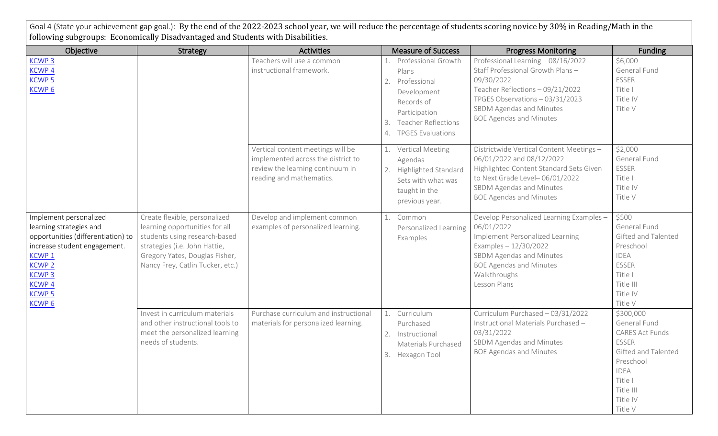Goal 4 (State your achievement gap goal.): By the end of the 2022-2023 school year, we will reduce the percentage of students scoring novice by 30% in Reading/Math in the following subgroups: Economically Disadvantaged and Students with Disabilities.

| Objective                                                                                                                                                                                                               | Strategy                                                                                                                                                                                                | <b>Activities</b>                                                                                                                       | <b>Measure of Success</b>                                                                                                                                              | <b>Progress Monitoring</b>                                                                                                                                                                                                | <b>Funding</b>                                                                                                                                                 |
|-------------------------------------------------------------------------------------------------------------------------------------------------------------------------------------------------------------------------|---------------------------------------------------------------------------------------------------------------------------------------------------------------------------------------------------------|-----------------------------------------------------------------------------------------------------------------------------------------|------------------------------------------------------------------------------------------------------------------------------------------------------------------------|---------------------------------------------------------------------------------------------------------------------------------------------------------------------------------------------------------------------------|----------------------------------------------------------------------------------------------------------------------------------------------------------------|
| <b>KCWP3</b><br>KCWP <sub>4</sub><br>KCWP <sub>5</sub><br>KCWP <sub>6</sub>                                                                                                                                             |                                                                                                                                                                                                         | Teachers will use a common<br>instructional framework.                                                                                  | Professional Growth<br>Plans<br>Professional<br>2.<br>Development<br>Records of<br>Participation<br><b>Teacher Reflections</b><br>3.<br><b>TPGES Evaluations</b><br>4. | Professional Learning - 08/16/2022<br>Staff Professional Growth Plans-<br>09/30/2022<br>Teacher Reflections - 09/21/2022<br>TPGES Observations - 03/31/2023<br>SBDM Agendas and Minutes<br><b>BOE Agendas and Minutes</b> | \$6,000<br>General Fund<br>ESSER<br>Title I<br>Title IV<br>Title V                                                                                             |
|                                                                                                                                                                                                                         |                                                                                                                                                                                                         | Vertical content meetings will be<br>implemented across the district to<br>review the learning continuum in<br>reading and mathematics. | 1. Vertical Meeting<br>Agendas<br><b>Highlighted Standard</b><br>2.<br>Sets with what was<br>taught in the<br>previous year.                                           | Districtwide Vertical Content Meetings -<br>06/01/2022 and 08/12/2022<br>Highlighted Content Standard Sets Given<br>to Next Grade Level-06/01/2022<br>SBDM Agendas and Minutes<br><b>BOE Agendas and Minutes</b>          | \$2,000<br>General Fund<br>ESSER<br>Title I<br>Title IV<br>Title V                                                                                             |
| Implement personalized<br>learning strategies and<br>opportunities (differentiation) to<br>increase student engagement.<br>KCWP 1<br><b>KCWP 2</b><br><b>KCWP3</b><br><b>KCWP4</b><br><b>KCWP5</b><br>KCWP <sub>6</sub> | Create flexible, personalized<br>learning opportunities for all<br>students using research-based<br>strategies (i.e. John Hattie,<br>Gregory Yates, Douglas Fisher,<br>Nancy Frey, Catlin Tucker, etc.) | Develop and implement common<br>examples of personalized learning.                                                                      | Common<br>1.<br>Personalized Learning<br>Examples                                                                                                                      | Develop Personalized Learning Examples -<br>06/01/2022<br>Implement Personalized Learning<br>Examples $-12/30/2022$<br>SBDM Agendas and Minutes<br><b>BOE Agendas and Minutes</b><br>Walkthroughs<br>Lesson Plans         | \$500<br>General Fund<br>Gifted and Talented<br>Preschool<br><b>IDEA</b><br>ESSER<br>Title I<br>Title III<br>Title IV<br>Title V                               |
|                                                                                                                                                                                                                         | Invest in curriculum materials<br>and other instructional tools to<br>meet the personalized learning<br>needs of students.                                                                              | Purchase curriculum and instructional<br>materials for personalized learning.                                                           | Curriculum<br>1.<br>Purchased<br>Instructional<br>2.<br>Materials Purchased<br>3. Hexagon Tool                                                                         | Curriculum Purchased - 03/31/2022<br>Instructional Materials Purchased -<br>03/31/2022<br>SBDM Agendas and Minutes<br><b>BOE Agendas and Minutes</b>                                                                      | \$300,000<br>General Fund<br><b>CARES Act Funds</b><br>ESSER<br>Gifted and Talented<br>Preschool<br><b>IDEA</b><br>Title I<br>Title III<br>Title IV<br>Title V |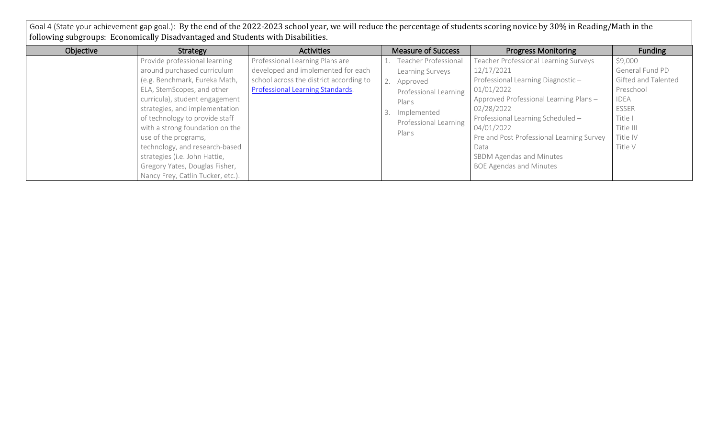Goal 4 (State your achievement gap goal.): By the end of the 2022-2023 school year, we will reduce the percentage of students scoring novice by 30% in Reading/Math in the following subgroups: Economically Disadvantaged and Students with Disabilities.

| Objective | Strategy                          | Activities                              | <b>Measure of Success</b>   | <b>Progress Monitoring</b>                | Funding             |
|-----------|-----------------------------------|-----------------------------------------|-----------------------------|-------------------------------------------|---------------------|
|           | Provide professional learning     | Professional Learning Plans are         | <b>Teacher Professional</b> | Teacher Professional Learning Surveys -   | \$9,000             |
|           | around purchased curriculum       | developed and implemented for each      | Learning Surveys            | 12/17/2021                                | General Fund PD     |
|           | (e.g. Benchmark, Eureka Math,     | school across the district according to | 2. Approved                 | Professional Learning Diagnostic-         | Gifted and Talented |
|           | ELA, StemScopes, and other        | Professional Learning Standards.        | Professional Learning       | 01/01/2022                                | Preschool           |
|           | curricula), student engagement    |                                         | Plans                       | Approved Professional Learning Plans -    | <b>IDEA</b>         |
|           | strategies, and implementation    |                                         | Implemented                 | 02/28/2022                                | <b>ESSER</b>        |
|           | of technology to provide staff    |                                         | Professional Learning       | Professional Learning Scheduled -         | Title I             |
|           | with a strong foundation on the   |                                         | Plans                       | 04/01/2022                                | Title III           |
|           | use of the programs,              |                                         |                             | Pre and Post Professional Learning Survey | Title IV            |
|           | technology, and research-based    |                                         |                             | Data                                      | Title V             |
|           | strategies (i.e. John Hattie,     |                                         |                             | SBDM Agendas and Minutes                  |                     |
|           | Gregory Yates, Douglas Fisher,    |                                         |                             | <b>BOE Agendas and Minutes</b>            |                     |
|           | Nancy Frey, Catlin Tucker, etc.). |                                         |                             |                                           |                     |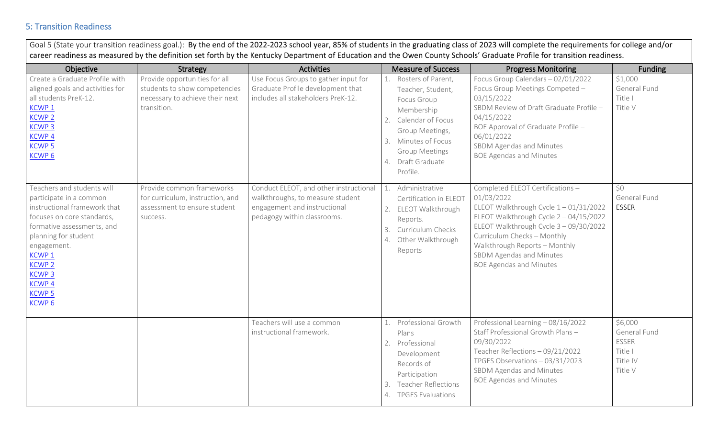## 5: Transition Readiness

| Objective                                                                                                                                                                                                                                                                                           | Strategy                                                                                                         | <b>Activities</b>                                                                                                                         | <b>Measure of Success</b>                                                                                                                                                                              | <b>Progress Monitoring</b>                                                                                                                                                                                                                                                                               | <b>Funding</b>                                                            |
|-----------------------------------------------------------------------------------------------------------------------------------------------------------------------------------------------------------------------------------------------------------------------------------------------------|------------------------------------------------------------------------------------------------------------------|-------------------------------------------------------------------------------------------------------------------------------------------|--------------------------------------------------------------------------------------------------------------------------------------------------------------------------------------------------------|----------------------------------------------------------------------------------------------------------------------------------------------------------------------------------------------------------------------------------------------------------------------------------------------------------|---------------------------------------------------------------------------|
| Create a Graduate Profile with<br>aligned goals and activities for<br>all students PreK-12.<br><b>KCWP1</b><br><b>KCWP 2</b><br><b>KCWP3</b><br>KCWP <sub>4</sub><br><b>KCWP5</b><br><b>KCWP6</b>                                                                                                   | Provide opportunities for all<br>students to show competencies<br>necessary to achieve their next<br>transition. | Use Focus Groups to gather input for<br>Graduate Profile development that<br>includes all stakeholders PreK-12.                           | 1. Rosters of Parent,<br>Teacher, Student,<br>Focus Group<br>Membership<br>2. Calendar of Focus<br>Group Meetings,<br>Minutes of Focus<br>3.<br><b>Group Meetings</b><br>4. Draft Graduate<br>Profile. | Focus Group Calendars - 02/01/2022<br>Focus Group Meetings Competed -<br>03/15/2022<br>SBDM Review of Draft Graduate Profile -<br>04/15/2022<br>BOE Approval of Graduate Profile -<br>06/01/2022<br>SBDM Agendas and Minutes<br><b>BOE Agendas and Minutes</b>                                           | \$1,000<br>General Fund<br>Title I<br>Title V                             |
| Teachers and students will<br>participate in a common<br>instructional framework that<br>focuses on core standards,<br>formative assessments, and<br>planning for student<br>engagement.<br>KCWP <sub>1</sub><br><b>KCWP 2</b><br><b>KCWP3</b><br><b>KCWP4</b><br><b>KCWP5</b><br>KCWP <sub>6</sub> | Provide common frameworks<br>for curriculum, instruction, and<br>assessment to ensure student<br>success.        | Conduct ELEOT, and other instructional<br>walkthroughs, to measure student<br>engagement and instructional<br>pedagogy within classrooms. | Administrative<br>1.<br>Certification in ELEOT<br>2.<br>ELEOT Walkthrough<br>Reports.<br>Curriculum Checks<br>3.<br>Other Walkthrough<br>4.<br>Reports                                                 | Completed ELEOT Certifications -<br>01/03/2022<br>ELEOT Walkthrough Cycle 1-01/31/2022<br>ELEOT Walkthrough Cycle 2 - 04/15/2022<br>ELEOT Walkthrough Cycle 3 - 09/30/2022<br>Curriculum Checks - Monthly<br>Walkthrough Reports - Monthly<br>SBDM Agendas and Minutes<br><b>BOE Agendas and Minutes</b> | \$0<br>General Fund<br><b>ESSER</b>                                       |
|                                                                                                                                                                                                                                                                                                     |                                                                                                                  | Teachers will use a common<br>instructional framework.                                                                                    | Professional Growth<br>1.<br>Plans<br>2.<br>Professional<br>Development<br>Records of<br>Participation<br><b>Teacher Reflections</b><br>3.<br>4. TPGES Evaluations                                     | Professional Learning - 08/16/2022<br>Staff Professional Growth Plans-<br>09/30/2022<br>Teacher Reflections - 09/21/2022<br>TPGES Observations - 03/31/2023<br>SBDM Agendas and Minutes<br><b>BOE Agendas and Minutes</b>                                                                                | \$6,000<br>General Fund<br><b>ESSER</b><br>Title I<br>Title IV<br>Title V |

Goal 5 (State your transition readiness goal). By the end of the 2022-2022 school year, 85% of students in the graduating class of 2022 will complete the requirements for college and/or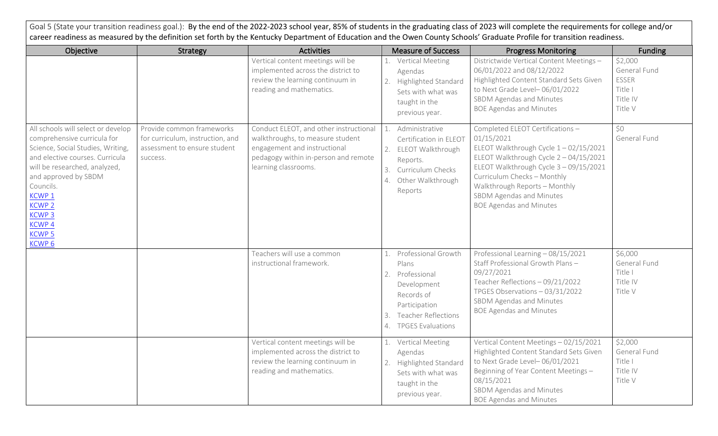| Goal 5 (State your transition readiness goal.): By the end of the 2022-2023 school year, 85% of students in the graduating class of 2023 will complete the requirements for college and/or<br>career readiness as measured by the definition set forth by the Kentucky Department of Education and the Owen County Schools' Graduate Profile for transition readiness. |                                                                                                           |                                                                                                                                                                            |                                                                                                                                                        |                                                                                                                                                                                                                                                                                                          |                                                                           |  |  |
|------------------------------------------------------------------------------------------------------------------------------------------------------------------------------------------------------------------------------------------------------------------------------------------------------------------------------------------------------------------------|-----------------------------------------------------------------------------------------------------------|----------------------------------------------------------------------------------------------------------------------------------------------------------------------------|--------------------------------------------------------------------------------------------------------------------------------------------------------|----------------------------------------------------------------------------------------------------------------------------------------------------------------------------------------------------------------------------------------------------------------------------------------------------------|---------------------------------------------------------------------------|--|--|
| Objective                                                                                                                                                                                                                                                                                                                                                              | Strategy                                                                                                  | <b>Activities</b>                                                                                                                                                          | <b>Measure of Success</b>                                                                                                                              | <b>Progress Monitoring</b>                                                                                                                                                                                                                                                                               | <b>Funding</b>                                                            |  |  |
|                                                                                                                                                                                                                                                                                                                                                                        |                                                                                                           | Vertical content meetings will be<br>implemented across the district to<br>review the learning continuum in<br>reading and mathematics.                                    | 1. Vertical Meeting<br>Agendas<br>Highlighted Standard<br>2.<br>Sets with what was<br>taught in the<br>previous year.                                  | Districtwide Vertical Content Meetings -<br>06/01/2022 and 08/12/2022<br>Highlighted Content Standard Sets Given<br>to Next Grade Level-06/01/2022<br>SBDM Agendas and Minutes<br><b>BOE Agendas and Minutes</b>                                                                                         | \$2,000<br>General Fund<br><b>ESSER</b><br>Title I<br>Title IV<br>Title V |  |  |
| All schools will select or develop<br>comprehensive curricula for<br>Science, Social Studies, Writing,<br>and elective courses. Curricula<br>will be researched, analyzed,<br>and approved by SBDM<br>Councils.<br>KCWP <sub>1</sub><br><b>KCWP 2</b><br><b>KCWP3</b><br><b>KCWP4</b><br><b>KCWP 5</b><br>KCWP <sub>6</sub>                                            | Provide common frameworks<br>for curriculum, instruction, and<br>assessment to ensure student<br>success. | Conduct ELEOT, and other instructional<br>walkthroughs, to measure student<br>engagement and instructional<br>pedagogy within in-person and remote<br>learning classrooms. | Administrative<br>Certification in ELEOT<br>ELEOT Walkthrough<br>2.<br>Reports.<br>Curriculum Checks<br>3.<br>Other Walkthrough<br>4.<br>Reports       | Completed ELEOT Certifications -<br>01/15/2021<br>ELEOT Walkthrough Cycle 1-02/15/2021<br>ELEOT Walkthrough Cycle 2 - 04/15/2021<br>ELEOT Walkthrough Cycle 3 - 09/15/2021<br>Curriculum Checks - Monthly<br>Walkthrough Reports - Monthly<br>SBDM Agendas and Minutes<br><b>BOE Agendas and Minutes</b> | \$0<br>General Fund                                                       |  |  |
|                                                                                                                                                                                                                                                                                                                                                                        |                                                                                                           | Teachers will use a common<br>instructional framework.                                                                                                                     | Professional Growth<br>Plans<br>Professional<br>2.<br>Development<br>Records of<br>Participation<br><b>Teacher Reflections</b><br>4. TPGES Evaluations | Professional Learning - 08/15/2021<br>Staff Professional Growth Plans-<br>09/27/2021<br>Teacher Reflections - 09/21/2022<br>TPGES Observations - 03/31/2022<br>SBDM Agendas and Minutes<br><b>BOE Agendas and Minutes</b>                                                                                | \$6,000<br>General Fund<br>Title I<br>Title IV<br>Title V                 |  |  |
|                                                                                                                                                                                                                                                                                                                                                                        |                                                                                                           | Vertical content meetings will be<br>implemented across the district to<br>review the learning continuum in<br>reading and mathematics.                                    | <b>Vertical Meeting</b><br>Agendas<br>Highlighted Standard<br>2.<br>Sets with what was<br>taught in the<br>previous year.                              | Vertical Content Meetings - 02/15/2021<br>Highlighted Content Standard Sets Given<br>to Next Grade Level-06/01/2021<br>Beginning of Year Content Meetings -<br>08/15/2021<br>SBDM Agendas and Minutes<br><b>BOE Agendas and Minutes</b>                                                                  | \$2,000<br>General Fund<br>Title I<br>Title IV<br>Title V                 |  |  |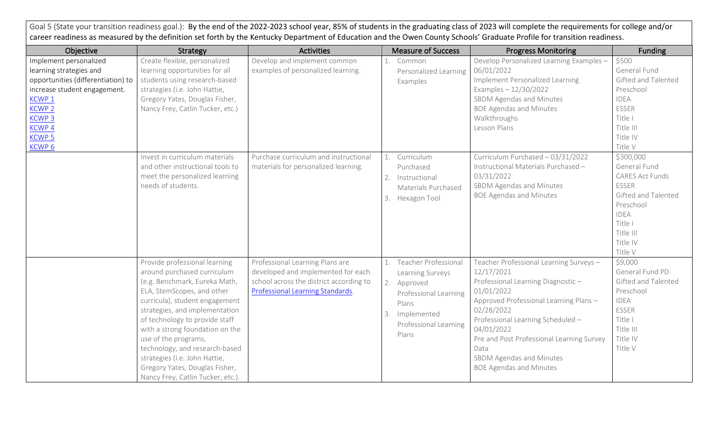Goal 5 (State your transition readiness goal.): By the end of the 2022-2023 school year, 85% of students in the graduating class of 2023 will complete the requirements for college and/or career readiness as measured by the definition set forth by the Kentucky Department of Education and the Owen County Schools' Graduate Profile for transition readiness.

| Objective                                                                                                                                                                                                                           | Strategy                                                                                                                                                                                                                                                                                                                                                                                                                              | <b>Activities</b>                                                                                                                                    |                | <b>Measure of Success</b>                                                                                                               | <b>Progress Monitoring</b>                                                                                                                                                                                                                                                                                                             | <b>Funding</b>                                                                                                                                                 |
|-------------------------------------------------------------------------------------------------------------------------------------------------------------------------------------------------------------------------------------|---------------------------------------------------------------------------------------------------------------------------------------------------------------------------------------------------------------------------------------------------------------------------------------------------------------------------------------------------------------------------------------------------------------------------------------|------------------------------------------------------------------------------------------------------------------------------------------------------|----------------|-----------------------------------------------------------------------------------------------------------------------------------------|----------------------------------------------------------------------------------------------------------------------------------------------------------------------------------------------------------------------------------------------------------------------------------------------------------------------------------------|----------------------------------------------------------------------------------------------------------------------------------------------------------------|
| Implement personalized<br>learning strategies and<br>opportunities (differentiation) to<br>increase student engagement.<br>KCWP <sub>1</sub><br><b>KCWP 2</b><br><b>KCWP3</b><br><b>KCWP4</b><br><b>KCWP 5</b><br>KCWP <sub>6</sub> | Create flexible, personalized<br>learning opportunities for all<br>students using research-based<br>strategies (i.e. John Hattie,<br>Gregory Yates, Douglas Fisher,<br>Nancy Frey, Catlin Tucker, etc.)                                                                                                                                                                                                                               | Develop and implement common<br>examples of personalized learning.                                                                                   | 1.             | Common<br>Personalized Learning<br>Examples                                                                                             | Develop Personalized Learning Examples -<br>06/01/2022<br>Implement Personalized Learning<br>Examples $-12/30/2022$<br>SBDM Agendas and Minutes<br><b>BOE Agendas and Minutes</b><br>Walkthroughs<br>Lesson Plans                                                                                                                      | \$500<br>General Fund<br>Gifted and Talented<br>Preschool<br><b>IDEA</b><br><b>ESSER</b><br>Title I<br>Title III<br>Title IV<br>Title V                        |
|                                                                                                                                                                                                                                     | Invest in curriculum materials<br>and other instructional tools to<br>meet the personalized learning<br>needs of students.                                                                                                                                                                                                                                                                                                            | Purchase curriculum and instructional<br>materials for personalized learning.                                                                        | 1.<br>2.<br>3. | Curriculum<br>Purchased<br>Instructional<br>Materials Purchased<br>Hexagon Tool                                                         | Curriculum Purchased - 03/31/2022<br>Instructional Materials Purchased -<br>03/31/2022<br>SBDM Agendas and Minutes<br><b>BOE Agendas and Minutes</b>                                                                                                                                                                                   | \$300,000<br>General Fund<br>CARES Act Funds<br><b>ESSER</b><br>Gifted and Talented<br>Preschool<br><b>IDEA</b><br>Title I<br>Title III<br>Title IV<br>Title V |
|                                                                                                                                                                                                                                     | Provide professional learning<br>around purchased curriculum<br>(e.g. Benchmark, Eureka Math,<br>ELA, StemScopes, and other<br>curricula), student engagement<br>strategies, and implementation<br>of technology to provide staff<br>with a strong foundation on the<br>use of the programs,<br>technology, and research-based<br>strategies (i.e. John Hattie,<br>Gregory Yates, Douglas Fisher,<br>Nancy Frey, Catlin Tucker, etc.) | Professional Learning Plans are<br>developed and implemented for each<br>school across the district according to<br>Professional Learning Standards. | 2.<br>3.       | Teacher Professional<br>Learning Surveys<br>Approved<br>Professional Learning<br>Plans<br>Implemented<br>Professional Learning<br>Plans | Teacher Professional Learning Surveys -<br>12/17/2021<br>Professional Learning Diagnostic-<br>01/01/2022<br>Approved Professional Learning Plans -<br>02/28/2022<br>Professional Learning Scheduled -<br>04/01/2022<br>Pre and Post Professional Learning Survey<br>Data<br>SBDM Agendas and Minutes<br><b>BOE Agendas and Minutes</b> | \$9,000<br>General Fund PD<br>Gifted and Talented<br>Preschool<br><b>IDEA</b><br>ESSER<br>Title I<br>Title III<br>Title IV<br>Title V                          |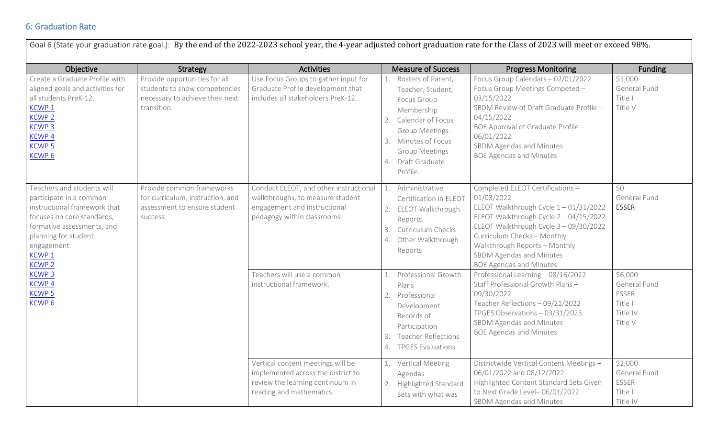## 6: Graduation Rate

| Goal 6 (State your graduation rate goal.): By the end of the 2022-2023 school year, the 4-year adjusted cohort graduation rate for the Class of 2023 will meet or exceed 98%.                                                                                                                       |                                                                                                                  |                                                                                                                                           |                                                                                                                                                                                                           |                                                                                                                                                                                                                                                                                                          |                                                                           |  |  |  |  |
|-----------------------------------------------------------------------------------------------------------------------------------------------------------------------------------------------------------------------------------------------------------------------------------------------------|------------------------------------------------------------------------------------------------------------------|-------------------------------------------------------------------------------------------------------------------------------------------|-----------------------------------------------------------------------------------------------------------------------------------------------------------------------------------------------------------|----------------------------------------------------------------------------------------------------------------------------------------------------------------------------------------------------------------------------------------------------------------------------------------------------------|---------------------------------------------------------------------------|--|--|--|--|
| Objective                                                                                                                                                                                                                                                                                           | <b>Strategy</b>                                                                                                  | <b>Activities</b>                                                                                                                         | <b>Measure of Success</b>                                                                                                                                                                                 | <b>Progress Monitoring</b>                                                                                                                                                                                                                                                                               | Funding                                                                   |  |  |  |  |
| Create a Graduate Profile with<br>aligned goals and activities for<br>all students PreK-12.<br><b>KCWP1</b><br><b>KCWP 2</b><br><b>KCWP3</b><br><b>KCWP4</b><br><b>KCWP5</b><br>KCWP <sub>6</sub>                                                                                                   | Provide opportunities for all<br>students to show competencies<br>necessary to achieve their next<br>transition. | Use Focus Groups to gather input for<br>Graduate Profile development that<br>includes all stakeholders PreK-12.                           | Rosters of Parent,<br>Teacher, Student,<br>Focus Group<br>Membership<br>Calendar of Focus<br>2.<br>Group Meetings.<br>Minutes of Focus<br>3.<br><b>Group Meetings</b><br>Draft Graduate<br>4.<br>Profile. | Focus Group Calendars - 02/01/2022<br>Focus Group Meetings Competed -<br>03/15/2022<br>SBDM Review of Draft Graduate Profile -<br>04/15/2022<br>BOE Approval of Graduate Profile -<br>06/01/2022<br>SBDM Agendas and Minutes<br><b>BOE Agendas and Minutes</b>                                           | \$1,000<br>General Fund<br>Title I<br>Title V                             |  |  |  |  |
| Teachers and students will<br>participate in a common<br>instructional framework that<br>focuses on core standards,<br>formative assessments, and<br>planning for student<br>engagement.<br>KCWP <sub>1</sub><br><b>KCWP 2</b><br><b>KCWP3</b><br><b>KCWP4</b><br><b>KCWP5</b><br>KCWP <sub>6</sub> | Provide common frameworks<br>for curriculum, instruction, and<br>assessment to ensure student<br>success.        | Conduct ELEOT, and other instructional<br>walkthroughs, to measure student<br>engagement and instructional<br>pedagogy within classrooms. | Administrative<br>1.<br>Certification in ELEOT<br>2. ELEOT Walkthrough<br>Reports.<br>Curriculum Checks<br>3.<br>Other Walkthrough<br>4.<br>Reports                                                       | Completed ELEOT Certifications -<br>01/03/2022<br>ELEOT Walkthrough Cycle 1-01/31/2022<br>ELEOT Walkthrough Cycle 2 - 04/15/2022<br>ELEOT Walkthrough Cycle 3 - 09/30/2022<br>Curriculum Checks - Monthly<br>Walkthrough Reports - Monthly<br>SBDM Agendas and Minutes<br><b>BOE Agendas and Minutes</b> | \$0<br>General Fund<br><b>ESSER</b>                                       |  |  |  |  |
|                                                                                                                                                                                                                                                                                                     |                                                                                                                  | Teachers will use a common<br>instructional framework.                                                                                    | Professional Growth<br>$\mathbf{1}$ .<br>Plans<br>2.<br>Professional<br>Development<br>Records of<br>Participation<br><b>Teacher Reflections</b><br>4. TPGES Evaluations                                  | Professional Learning - 08/16/2022<br>Staff Professional Growth Plans-<br>09/30/2022<br>Teacher Reflections - 09/21/2022<br>TPGES Observations - 03/31/2023<br>SBDM Agendas and Minutes<br><b>BOE Agendas and Minutes</b>                                                                                | \$6,000<br>General Fund<br><b>ESSER</b><br>Title I<br>Title IV<br>Title V |  |  |  |  |
|                                                                                                                                                                                                                                                                                                     |                                                                                                                  | Vertical content meetings will be<br>implemented across the district to<br>review the learning continuum in<br>reading and mathematics.   | 1. Vertical Meeting<br>Agendas<br>2. Highlighted Standard<br>Sets with what was                                                                                                                           | Districtwide Vertical Content Meetings -<br>06/01/2022 and 08/12/2022<br>Highlighted Content Standard Sets Given<br>to Next Grade Level-06/01/2022<br>SBDM Agendas and Minutes                                                                                                                           | \$2,000<br>General Fund<br><b>ESSER</b><br>Title I<br>Title IV            |  |  |  |  |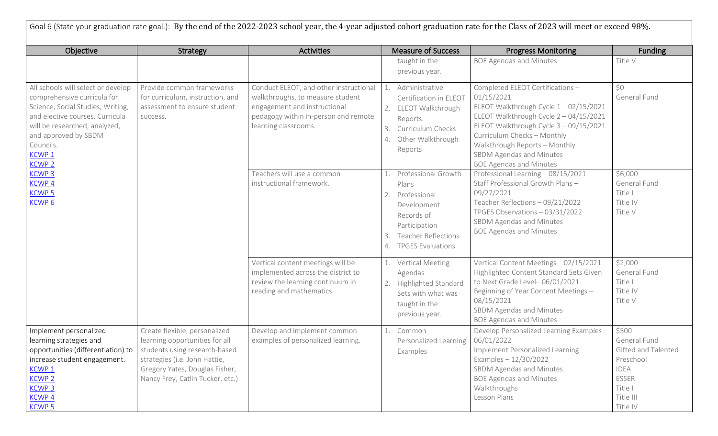| Goal 6 (State your graduation rate goal.): By the end of the 2022-2023 school year, the 4-year adjusted cohort graduation rate for the Class of 2023 will meet or exceed 98%.                                                                                                                                                               |                                                                                                                                                                                                         |                                                                                                                                                                            |                                                                                                                                                                  |                                                                                                                                                                                                                                                                                                          |                                                                                                                       |  |  |  |
|---------------------------------------------------------------------------------------------------------------------------------------------------------------------------------------------------------------------------------------------------------------------------------------------------------------------------------------------|---------------------------------------------------------------------------------------------------------------------------------------------------------------------------------------------------------|----------------------------------------------------------------------------------------------------------------------------------------------------------------------------|------------------------------------------------------------------------------------------------------------------------------------------------------------------|----------------------------------------------------------------------------------------------------------------------------------------------------------------------------------------------------------------------------------------------------------------------------------------------------------|-----------------------------------------------------------------------------------------------------------------------|--|--|--|
| Objective                                                                                                                                                                                                                                                                                                                                   | <b>Strategy</b>                                                                                                                                                                                         | <b>Activities</b>                                                                                                                                                          | <b>Measure of Success</b>                                                                                                                                        | <b>Progress Monitoring</b>                                                                                                                                                                                                                                                                               | <b>Funding</b>                                                                                                        |  |  |  |
|                                                                                                                                                                                                                                                                                                                                             |                                                                                                                                                                                                         |                                                                                                                                                                            | taught in the<br>previous year.                                                                                                                                  | <b>BOE Agendas and Minutes</b>                                                                                                                                                                                                                                                                           | Title V                                                                                                               |  |  |  |
| All schools will select or develop<br>comprehensive curricula for<br>Science, Social Studies, Writing,<br>and elective courses. Curricula<br>will be researched, analyzed,<br>and approved by SBDM<br>Councils.<br>KCWP <sub>1</sub><br><b>KCWP 2</b><br><b>KCWP<sub>3</sub></b><br>KCWP <sub>4</sub><br><b>KCWP 5</b><br>KCWP <sub>6</sub> | Provide common frameworks<br>for curriculum, instruction, and<br>assessment to ensure student<br>success.                                                                                               | Conduct ELEOT, and other instructional<br>walkthroughs, to measure student<br>engagement and instructional<br>pedagogy within in-person and remote<br>learning classrooms. | Administrative<br>Certification in ELEOT<br>ELEOT Walkthrough<br>2.<br>Reports.<br>Curriculum Checks<br>3.<br>Other Walkthrough<br>4.<br>Reports                 | Completed ELEOT Certifications -<br>01/15/2021<br>ELEOT Walkthrough Cycle 1-02/15/2021<br>ELEOT Walkthrough Cycle 2 - 04/15/2021<br>ELEOT Walkthrough Cycle 3 - 09/15/2021<br>Curriculum Checks - Monthly<br>Walkthrough Reports - Monthly<br>SBDM Agendas and Minutes<br><b>BOE Agendas and Minutes</b> | ŚO.<br>General Fund                                                                                                   |  |  |  |
|                                                                                                                                                                                                                                                                                                                                             |                                                                                                                                                                                                         | Teachers will use a common<br>instructional framework.                                                                                                                     | Professional Growth<br>Plans<br>Professional<br>2.<br>Development<br>Records of<br>Participation<br><b>Teacher Reflections</b><br><b>TPGES Evaluations</b><br>4. | Professional Learning - 08/15/2021<br>Staff Professional Growth Plans -<br>09/27/2021<br>Teacher Reflections - 09/21/2022<br>TPGES Observations - 03/31/2022<br>SBDM Agendas and Minutes<br><b>BOE Agendas and Minutes</b>                                                                               | \$6,000<br>General Fund<br>Title I<br>Title IV<br>Title V                                                             |  |  |  |
|                                                                                                                                                                                                                                                                                                                                             |                                                                                                                                                                                                         | Vertical content meetings will be<br>implemented across the district to<br>review the learning continuum in<br>reading and mathematics.                                    | <b>Vertical Meeting</b><br>Agendas<br>Highlighted Standard<br>2.<br>Sets with what was<br>taught in the<br>previous year.                                        | Vertical Content Meetings - 02/15/2021<br>Highlighted Content Standard Sets Given<br>to Next Grade Level-06/01/2021<br>Beginning of Year Content Meetings -<br>08/15/2021<br>SBDM Agendas and Minutes<br><b>BOE Agendas and Minutes</b>                                                                  | \$2,000<br>General Fund<br>Title I<br>Title IV<br>Title V                                                             |  |  |  |
| Implement personalized<br>learning strategies and<br>opportunities (differentiation) to<br>increase student engagement.<br><b>KCWP1</b><br><b>KCWP 2</b><br><b>KCWP3</b><br>KCWP <sub>4</sub><br><b>KCWP5</b>                                                                                                                               | Create flexible, personalized<br>learning opportunities for all<br>students using research-based<br>strategies (i.e. John Hattie,<br>Gregory Yates, Douglas Fisher,<br>Nancy Frey, Catlin Tucker, etc.) | Develop and implement common<br>examples of personalized learning.                                                                                                         | Common<br>Personalized Learning   06/01/2022<br>Examples                                                                                                         | Develop Personalized Learning Examples -<br>Implement Personalized Learning<br>Examples $-12/30/2022$<br>SBDM Agendas and Minutes<br><b>BOE Agendas and Minutes</b><br>Walkthroughs<br>Lesson Plans                                                                                                      | \$500<br>General Fund<br>Gifted and Talented<br>Preschool<br><b>IDEA</b><br>ESSER<br>Title I<br>Title III<br>Title IV |  |  |  |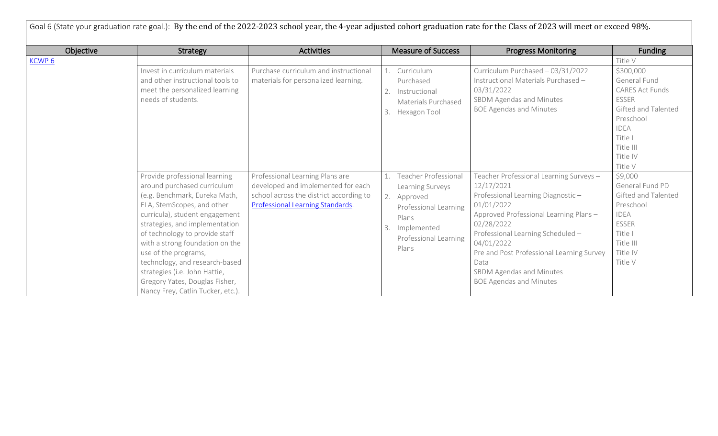| Goal 6 (State your graduation rate goal.): By the end of the 2022-2023 school year, the 4-year adjusted cohort graduation rate for the Class of 2023 will meet or exceed 98%. |                                                                                                                                                                                                                                                                                                                                                                                                                                       |                                                                                                                                                      |                                                                                                                                                            |                                                                                                                                                                                                                                                                                                                                       |                                                                                                                                              |  |  |  |
|-------------------------------------------------------------------------------------------------------------------------------------------------------------------------------|---------------------------------------------------------------------------------------------------------------------------------------------------------------------------------------------------------------------------------------------------------------------------------------------------------------------------------------------------------------------------------------------------------------------------------------|------------------------------------------------------------------------------------------------------------------------------------------------------|------------------------------------------------------------------------------------------------------------------------------------------------------------|---------------------------------------------------------------------------------------------------------------------------------------------------------------------------------------------------------------------------------------------------------------------------------------------------------------------------------------|----------------------------------------------------------------------------------------------------------------------------------------------|--|--|--|
| Objective                                                                                                                                                                     | <b>Strategy</b>                                                                                                                                                                                                                                                                                                                                                                                                                       | <b>Activities</b>                                                                                                                                    | <b>Measure of Success</b>                                                                                                                                  | <b>Progress Monitoring</b>                                                                                                                                                                                                                                                                                                            | <b>Funding</b>                                                                                                                               |  |  |  |
| KCWP <sub>6</sub>                                                                                                                                                             | Invest in curriculum materials<br>and other instructional tools to<br>meet the personalized learning<br>needs of students.                                                                                                                                                                                                                                                                                                            | Purchase curriculum and instructional<br>materials for personalized learning.                                                                        | Curriculum<br>Purchased<br>Instructional<br>Materials Purchased                                                                                            | Curriculum Purchased - 03/31/2022<br>Instructional Materials Purchased -<br>03/31/2022<br>SBDM Agendas and Minutes                                                                                                                                                                                                                    | Title V<br>\$300,000<br>General Fund<br>CARES Act Funds<br><b>ESSER</b>                                                                      |  |  |  |
|                                                                                                                                                                               |                                                                                                                                                                                                                                                                                                                                                                                                                                       |                                                                                                                                                      | 3.<br>Hexagon Tool                                                                                                                                         | <b>BOE Agendas and Minutes</b>                                                                                                                                                                                                                                                                                                        | Gifted and Talented<br>Preschool<br><b>IDEA</b><br>Title I<br>Title III<br>Title IV<br>Title V                                               |  |  |  |
|                                                                                                                                                                               | Provide professional learning<br>around purchased curriculum<br>(e.g. Benchmark, Eureka Math,<br>ELA, StemScopes, and other<br>curricula), student engagement<br>strategies, and implementation<br>of technology to provide staff<br>with a strong foundation on the<br>use of the programs,<br>technology, and research-based<br>strategies (i.e. John Hattie,<br>Gregory Yates, Douglas Fisher,<br>Nancy Frey, Catlin Tucker, etc.) | Professional Learning Plans are<br>developed and implemented for each<br>school across the district according to<br>Professional Learning Standards. | <b>Teacher Professional</b><br>Learning Surveys<br>2.<br>Approved<br>Professional Learning<br>Plans<br>Implemented<br>3.<br>Professional Learning<br>Plans | Teacher Professional Learning Surveys-<br>12/17/2021<br>Professional Learning Diagnostic-<br>01/01/2022<br>Approved Professional Learning Plans -<br>02/28/2022<br>Professional Learning Scheduled -<br>04/01/2022<br>Pre and Post Professional Learning Survey<br>Data<br>SBDM Agendas and Minutes<br><b>BOE Agendas and Minutes</b> | \$9,000<br>General Fund PD<br>Gifted and Talented<br>Preschool<br><b>IDEA</b><br><b>ESSER</b><br>Title I<br>Title III<br>Title IV<br>Title V |  |  |  |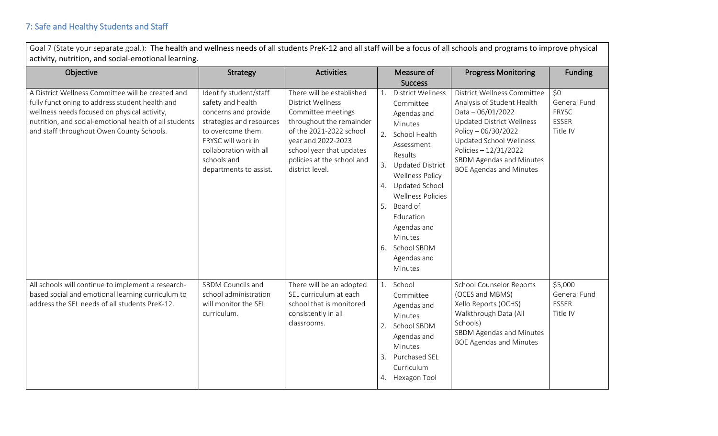Goal 7 (State your separate goal.): The health and wellness needs of all students PreK-12 and all staff will be a focus of all schools and programs to improve physical activity, nutrition, and social-emotional learning.

| Objective                                                                                                                                                                                                                                                   | <b>Strategy</b>                                                                                                                                                                                               | <b>Activities</b>                                                                                                                                                                                                                     |                | Measure of<br><b>Success</b>                                                                                                                                                                                                                                                                                      | <b>Progress Monitoring</b>                                                                                                                                                                                                                                   | <b>Funding</b>                                                  |
|-------------------------------------------------------------------------------------------------------------------------------------------------------------------------------------------------------------------------------------------------------------|---------------------------------------------------------------------------------------------------------------------------------------------------------------------------------------------------------------|---------------------------------------------------------------------------------------------------------------------------------------------------------------------------------------------------------------------------------------|----------------|-------------------------------------------------------------------------------------------------------------------------------------------------------------------------------------------------------------------------------------------------------------------------------------------------------------------|--------------------------------------------------------------------------------------------------------------------------------------------------------------------------------------------------------------------------------------------------------------|-----------------------------------------------------------------|
| A District Wellness Committee will be created and<br>fully functioning to address student health and<br>wellness needs focused on physical activity,<br>nutrition, and social-emotional health of all students<br>and staff throughout Owen County Schools. | Identify student/staff<br>safety and health<br>concerns and provide<br>strategies and resources<br>to overcome them.<br>FRYSC will work in<br>collaboration with all<br>schools and<br>departments to assist. | There will be established<br><b>District Wellness</b><br>Committee meetings<br>throughout the remainder<br>of the 2021-2022 school<br>year and 2022-2023<br>school year that updates<br>policies at the school and<br>district level. | 1.<br>3.<br>4. | <b>District Wellness</b><br>Committee<br>Agendas and<br>Minutes<br>2. School Health<br>Assessment<br>Results<br><b>Updated District</b><br><b>Wellness Policy</b><br>Updated School<br><b>Wellness Policies</b><br>5. Board of<br>Education<br>Agendas and<br>Minutes<br>6. School SBDM<br>Agendas and<br>Minutes | District Wellness Committee<br>Analysis of Student Health<br>Data $-06/01/2022$<br><b>Updated District Wellness</b><br>Policy - 06/30/2022<br>Updated School Wellness<br>Policies - 12/31/2022<br>SBDM Agendas and Minutes<br><b>BOE Agendas and Minutes</b> | \$0<br>General Fund<br><b>FRYSC</b><br><b>ESSER</b><br>Title IV |
| All schools will continue to implement a research-<br>based social and emotional learning curriculum to<br>address the SEL needs of all students PreK-12.                                                                                                   | SBDM Councils and<br>school administration<br>will monitor the SEL<br>curriculum.                                                                                                                             | There will be an adopted<br>SEL curriculum at each<br>school that is monitored<br>consistently in all<br>classrooms.                                                                                                                  |                | 1. School<br>Committee<br>Agendas and<br>Minutes<br>2. School SBDM<br>Agendas and<br>Minutes<br>3. Purchased SEL<br>Curriculum<br>4. Hexagon Tool                                                                                                                                                                 | <b>School Counselor Reports</b><br>(OCES and MBMS)<br>Xello Reports (OCHS)<br>Walkthrough Data (All<br>Schools)<br>SBDM Agendas and Minutes<br><b>BOE Agendas and Minutes</b>                                                                                | \$5,000<br>General Fund<br><b>ESSER</b><br>Title IV             |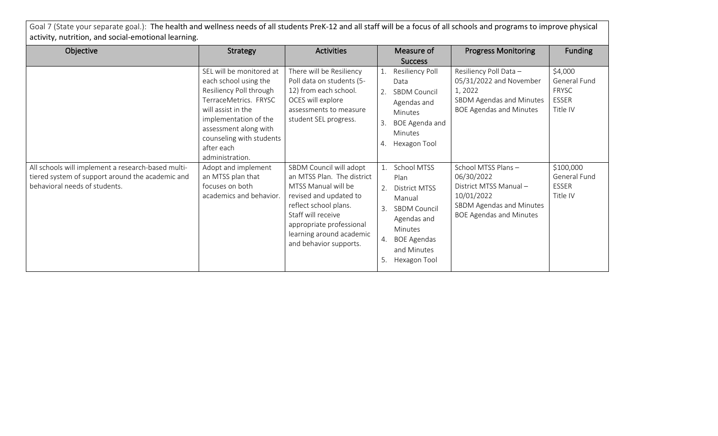Goal 7 (State your separate goal.): The health and wellness needs of all students PreK-12 and all staff will be a focus of all schools and programs to improve physical activity, nutrition, and social-emotional learning.

| Objective                                                                                                                               | Strategy                                                                                                                                                                                                                                   | <b>Activities</b>                                                                                                                                                                                                                       |                      | Measure of                                                                                                                                           | <b>Progress Monitoring</b>                                                                                                            | <b>Funding</b>                                                      |
|-----------------------------------------------------------------------------------------------------------------------------------------|--------------------------------------------------------------------------------------------------------------------------------------------------------------------------------------------------------------------------------------------|-----------------------------------------------------------------------------------------------------------------------------------------------------------------------------------------------------------------------------------------|----------------------|------------------------------------------------------------------------------------------------------------------------------------------------------|---------------------------------------------------------------------------------------------------------------------------------------|---------------------------------------------------------------------|
|                                                                                                                                         |                                                                                                                                                                                                                                            |                                                                                                                                                                                                                                         |                      | <b>Success</b>                                                                                                                                       |                                                                                                                                       |                                                                     |
|                                                                                                                                         | SEL will be monitored at<br>each school using the<br>Resiliency Poll through<br>TerraceMetrics. FRYSC<br>will assist in the<br>implementation of the<br>assessment along with<br>counseling with students<br>after each<br>administration. | There will be Resiliency<br>Poll data on students (5-<br>12) from each school.<br>OCES will explore<br>assessments to measure<br>student SEL progress.                                                                                  | 4.                   | Resiliency Poll<br>Data<br><b>SBDM Council</b><br>Agendas and<br><b>Minutes</b><br>BOE Agenda and<br><b>Minutes</b><br>Hexagon Tool                  | Resiliency Poll Data -<br>05/31/2022 and November<br>1, 2022<br>SBDM Agendas and Minutes<br><b>BOE Agendas and Minutes</b>            | \$4,000<br>General Fund<br><b>FRYSC</b><br><b>ESSER</b><br>Title IV |
| All schools will implement a research-based multi-<br>tiered system of support around the academic and<br>behavioral needs of students. | Adopt and implement<br>an MTSS plan that<br>focuses on both<br>academics and behavior.                                                                                                                                                     | SBDM Council will adopt<br>an MTSS Plan. The district<br>MTSS Manual will be<br>revised and updated to<br>reflect school plans.<br>Staff will receive<br>appropriate professional<br>learning around academic<br>and behavior supports. | 2.<br>3.<br>4.<br>5. | School MTSS<br>Plan<br>District MTSS<br>Manual<br><b>SBDM Council</b><br>Agendas and<br>Minutes<br><b>BOE Agendas</b><br>and Minutes<br>Hexagon Tool | School MTSS Plans-<br>06/30/2022<br>District MTSS Manual-<br>10/01/2022<br>SBDM Agendas and Minutes<br><b>BOE Agendas and Minutes</b> | \$100,000<br>General Fund<br><b>ESSER</b><br>Title IV               |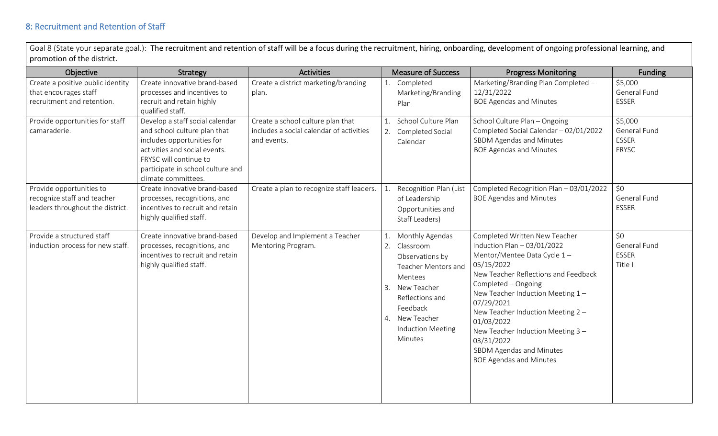Goal 8 (State your separate goal.): The recruitment and retention of staff will be a focus during the recruitment, hiring, onboarding, development of ongoing professional learning, and promotion of the district.

| Objective                                                                                   | Strategy                                                                                                                                                                                                             | <b>Activities</b>                                                                            | <b>Measure of Success</b>                                                                                                                                                                                     | <b>Progress Monitoring</b>                                                                                                                                                                                                                                                                                                                                                                      | Funding                                          |
|---------------------------------------------------------------------------------------------|----------------------------------------------------------------------------------------------------------------------------------------------------------------------------------------------------------------------|----------------------------------------------------------------------------------------------|---------------------------------------------------------------------------------------------------------------------------------------------------------------------------------------------------------------|-------------------------------------------------------------------------------------------------------------------------------------------------------------------------------------------------------------------------------------------------------------------------------------------------------------------------------------------------------------------------------------------------|--------------------------------------------------|
| Create a positive public identity<br>that encourages staff<br>recruitment and retention.    | Create innovative brand-based<br>processes and incentives to<br>recruit and retain highly<br>qualified staff.                                                                                                        | Create a district marketing/branding<br>plan.                                                | 1. Completed<br>Marketing/Branding<br>Plan                                                                                                                                                                    | Marketing/Branding Plan Completed -<br>12/31/2022<br><b>BOE Agendas and Minutes</b>                                                                                                                                                                                                                                                                                                             | \$5,000<br>General Fund<br>ESSER                 |
| Provide opportunities for staff<br>camaraderie.                                             | Develop a staff social calendar<br>and school culture plan that<br>includes opportunities for<br>activities and social events.<br>FRYSC will continue to<br>participate in school culture and<br>climate committees. | Create a school culture plan that<br>includes a social calendar of activities<br>and events. | School Culture Plan<br>1.<br>Completed Social<br>2.<br>Calendar                                                                                                                                               | School Culture Plan - Ongoing<br>Completed Social Calendar - 02/01/2022<br>SBDM Agendas and Minutes<br><b>BOE Agendas and Minutes</b>                                                                                                                                                                                                                                                           | \$5,000<br>General Fund<br>ESSER<br><b>FRYSC</b> |
| Provide opportunities to<br>recognize staff and teacher<br>leaders throughout the district. | Create innovative brand-based<br>processes, recognitions, and<br>incentives to recruit and retain<br>highly qualified staff.                                                                                         | Create a plan to recognize staff leaders.                                                    | Recognition Plan (List<br>of Leadership<br>Opportunities and<br>Staff Leaders)                                                                                                                                | Completed Recognition Plan - 03/01/2022<br><b>BOE Agendas and Minutes</b>                                                                                                                                                                                                                                                                                                                       | \$0<br>General Fund<br>ESSER                     |
| Provide a structured staff<br>induction process for new staff.                              | Create innovative brand-based<br>processes, recognitions, and<br>incentives to recruit and retain<br>highly qualified staff.                                                                                         | Develop and Implement a Teacher<br>Mentoring Program.                                        | Monthly Agendas<br>1.<br>Classroom<br>2.<br>Observations by<br>Teacher Mentors and<br>Mentees<br>New Teacher<br>3.<br>Reflections and<br>Feedback<br>New Teacher<br>4.<br><b>Induction Meeting</b><br>Minutes | Completed Written New Teacher<br>Induction Plan $-03/01/2022$<br>Mentor/Mentee Data Cycle 1-<br>05/15/2022<br>New Teacher Reflections and Feedback<br>Completed - Ongoing<br>New Teacher Induction Meeting 1-<br>07/29/2021<br>New Teacher Induction Meeting 2 -<br>01/03/2022<br>New Teacher Induction Meeting 3 -<br>03/31/2022<br>SBDM Agendas and Minutes<br><b>BOE Agendas and Minutes</b> | \$0<br>General Fund<br><b>ESSER</b><br>Title I   |